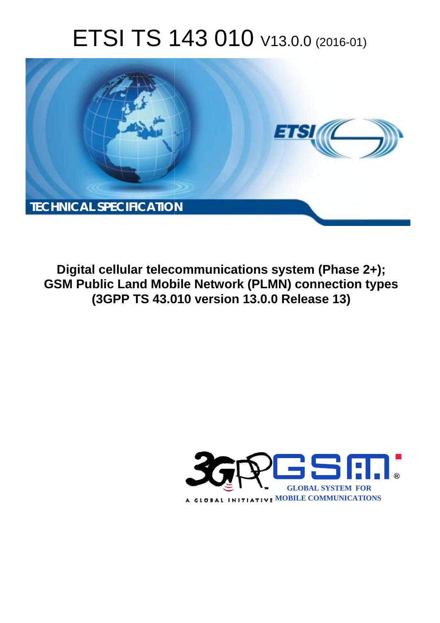# ETSI TS 143 010 V13.0.0 (2016-01)



**Digital cellular telecommunications system (Phase 2+); GSM Public Land Mobile Network (PLMN) connection types (3GPP TS 43.0 .010 version 13.0.0 Release 13 13)** 

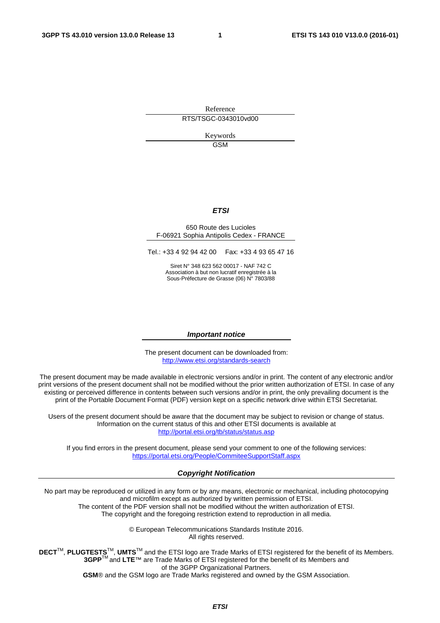Reference RTS/TSGC-0343010vd00

> Keywords **GSM**

### *ETSI*

#### 650 Route des Lucioles F-06921 Sophia Antipolis Cedex - FRANCE

Tel.: +33 4 92 94 42 00 Fax: +33 4 93 65 47 16

Siret N° 348 623 562 00017 - NAF 742 C Association à but non lucratif enregistrée à la Sous-Préfecture de Grasse (06) N° 7803/88

#### *Important notice*

The present document can be downloaded from: <http://www.etsi.org/standards-search>

The present document may be made available in electronic versions and/or in print. The content of any electronic and/or print versions of the present document shall not be modified without the prior written authorization of ETSI. In case of any existing or perceived difference in contents between such versions and/or in print, the only prevailing document is the print of the Portable Document Format (PDF) version kept on a specific network drive within ETSI Secretariat.

Users of the present document should be aware that the document may be subject to revision or change of status. Information on the current status of this and other ETSI documents is available at <http://portal.etsi.org/tb/status/status.asp>

If you find errors in the present document, please send your comment to one of the following services: <https://portal.etsi.org/People/CommiteeSupportStaff.aspx>

#### *Copyright Notification*

No part may be reproduced or utilized in any form or by any means, electronic or mechanical, including photocopying and microfilm except as authorized by written permission of ETSI.

The content of the PDF version shall not be modified without the written authorization of ETSI. The copyright and the foregoing restriction extend to reproduction in all media.

> © European Telecommunications Standards Institute 2016. All rights reserved.

**DECT**TM, **PLUGTESTS**TM, **UMTS**TM and the ETSI logo are Trade Marks of ETSI registered for the benefit of its Members. **3GPP**TM and **LTE**™ are Trade Marks of ETSI registered for the benefit of its Members and of the 3GPP Organizational Partners.

**GSM**® and the GSM logo are Trade Marks registered and owned by the GSM Association.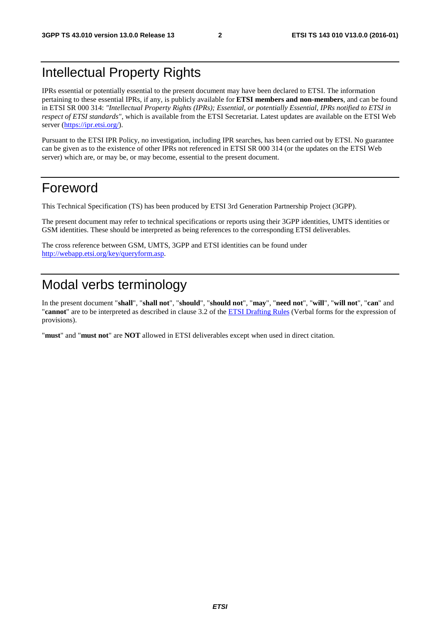## Intellectual Property Rights

IPRs essential or potentially essential to the present document may have been declared to ETSI. The information pertaining to these essential IPRs, if any, is publicly available for **ETSI members and non-members**, and can be found in ETSI SR 000 314: *"Intellectual Property Rights (IPRs); Essential, or potentially Essential, IPRs notified to ETSI in respect of ETSI standards"*, which is available from the ETSI Secretariat. Latest updates are available on the ETSI Web server [\(https://ipr.etsi.org/](https://ipr.etsi.org/)).

Pursuant to the ETSI IPR Policy, no investigation, including IPR searches, has been carried out by ETSI. No guarantee can be given as to the existence of other IPRs not referenced in ETSI SR 000 314 (or the updates on the ETSI Web server) which are, or may be, or may become, essential to the present document.

## Foreword

This Technical Specification (TS) has been produced by ETSI 3rd Generation Partnership Project (3GPP).

The present document may refer to technical specifications or reports using their 3GPP identities, UMTS identities or GSM identities. These should be interpreted as being references to the corresponding ETSI deliverables.

The cross reference between GSM, UMTS, 3GPP and ETSI identities can be found under [http://webapp.etsi.org/key/queryform.asp.](http://webapp.etsi.org/key/queryform.asp)

## Modal verbs terminology

In the present document "**shall**", "**shall not**", "**should**", "**should not**", "**may**", "**need not**", "**will**", "**will not**", "**can**" and "**cannot**" are to be interpreted as described in clause 3.2 of the [ETSI Drafting Rules](http://portal.etsi.org/Help/editHelp!/Howtostart/ETSIDraftingRules.aspx) (Verbal forms for the expression of provisions).

"**must**" and "**must not**" are **NOT** allowed in ETSI deliverables except when used in direct citation.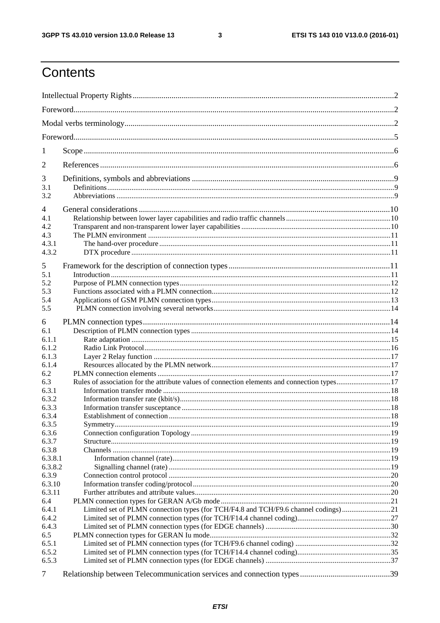$\mathbf{3}$ 

## Contents

| 1<br>2<br>3<br>3.1<br>3.2<br>4<br>4.1<br>4.2<br>4.3<br>4.3.1<br>4.3.2<br>5<br>5.1<br>5.2<br>5.3<br>5.4<br>5.5<br>6<br>6.1<br>6.1.1<br>6.1.2<br>6.1.3<br>6.1.4<br>6.2<br>Rules of association for the attribute values of connection elements and connection types17<br>6.3<br>6.3.1<br>6.3.2<br>6.3.3<br>6.3.4<br>6.3.5<br>6.3.6<br>6.3.7<br>6.3.8<br>6.3.8.1<br>6.3.8.2<br>6.3.9<br>6.3.10<br>6.3.11<br>6.4<br>Limited set of PLMN connection types (for TCH/F4.8 and TCH/F9.6 channel codings)21<br>6.4.1<br>6.4.2<br>6.4.3<br>6.5<br>6.5.1<br>6.5.2<br>6.5.3 |   |  |
|-----------------------------------------------------------------------------------------------------------------------------------------------------------------------------------------------------------------------------------------------------------------------------------------------------------------------------------------------------------------------------------------------------------------------------------------------------------------------------------------------------------------------------------------------------------------|---|--|
|                                                                                                                                                                                                                                                                                                                                                                                                                                                                                                                                                                 |   |  |
|                                                                                                                                                                                                                                                                                                                                                                                                                                                                                                                                                                 |   |  |
|                                                                                                                                                                                                                                                                                                                                                                                                                                                                                                                                                                 |   |  |
|                                                                                                                                                                                                                                                                                                                                                                                                                                                                                                                                                                 |   |  |
|                                                                                                                                                                                                                                                                                                                                                                                                                                                                                                                                                                 |   |  |
|                                                                                                                                                                                                                                                                                                                                                                                                                                                                                                                                                                 |   |  |
|                                                                                                                                                                                                                                                                                                                                                                                                                                                                                                                                                                 |   |  |
|                                                                                                                                                                                                                                                                                                                                                                                                                                                                                                                                                                 |   |  |
|                                                                                                                                                                                                                                                                                                                                                                                                                                                                                                                                                                 |   |  |
|                                                                                                                                                                                                                                                                                                                                                                                                                                                                                                                                                                 |   |  |
|                                                                                                                                                                                                                                                                                                                                                                                                                                                                                                                                                                 |   |  |
|                                                                                                                                                                                                                                                                                                                                                                                                                                                                                                                                                                 |   |  |
|                                                                                                                                                                                                                                                                                                                                                                                                                                                                                                                                                                 |   |  |
|                                                                                                                                                                                                                                                                                                                                                                                                                                                                                                                                                                 |   |  |
|                                                                                                                                                                                                                                                                                                                                                                                                                                                                                                                                                                 |   |  |
|                                                                                                                                                                                                                                                                                                                                                                                                                                                                                                                                                                 |   |  |
|                                                                                                                                                                                                                                                                                                                                                                                                                                                                                                                                                                 |   |  |
|                                                                                                                                                                                                                                                                                                                                                                                                                                                                                                                                                                 |   |  |
|                                                                                                                                                                                                                                                                                                                                                                                                                                                                                                                                                                 |   |  |
|                                                                                                                                                                                                                                                                                                                                                                                                                                                                                                                                                                 |   |  |
|                                                                                                                                                                                                                                                                                                                                                                                                                                                                                                                                                                 |   |  |
|                                                                                                                                                                                                                                                                                                                                                                                                                                                                                                                                                                 |   |  |
|                                                                                                                                                                                                                                                                                                                                                                                                                                                                                                                                                                 |   |  |
|                                                                                                                                                                                                                                                                                                                                                                                                                                                                                                                                                                 |   |  |
|                                                                                                                                                                                                                                                                                                                                                                                                                                                                                                                                                                 |   |  |
|                                                                                                                                                                                                                                                                                                                                                                                                                                                                                                                                                                 |   |  |
|                                                                                                                                                                                                                                                                                                                                                                                                                                                                                                                                                                 |   |  |
|                                                                                                                                                                                                                                                                                                                                                                                                                                                                                                                                                                 |   |  |
|                                                                                                                                                                                                                                                                                                                                                                                                                                                                                                                                                                 |   |  |
|                                                                                                                                                                                                                                                                                                                                                                                                                                                                                                                                                                 |   |  |
|                                                                                                                                                                                                                                                                                                                                                                                                                                                                                                                                                                 |   |  |
|                                                                                                                                                                                                                                                                                                                                                                                                                                                                                                                                                                 |   |  |
|                                                                                                                                                                                                                                                                                                                                                                                                                                                                                                                                                                 |   |  |
|                                                                                                                                                                                                                                                                                                                                                                                                                                                                                                                                                                 |   |  |
|                                                                                                                                                                                                                                                                                                                                                                                                                                                                                                                                                                 |   |  |
|                                                                                                                                                                                                                                                                                                                                                                                                                                                                                                                                                                 |   |  |
|                                                                                                                                                                                                                                                                                                                                                                                                                                                                                                                                                                 |   |  |
|                                                                                                                                                                                                                                                                                                                                                                                                                                                                                                                                                                 |   |  |
|                                                                                                                                                                                                                                                                                                                                                                                                                                                                                                                                                                 |   |  |
|                                                                                                                                                                                                                                                                                                                                                                                                                                                                                                                                                                 |   |  |
|                                                                                                                                                                                                                                                                                                                                                                                                                                                                                                                                                                 |   |  |
|                                                                                                                                                                                                                                                                                                                                                                                                                                                                                                                                                                 |   |  |
|                                                                                                                                                                                                                                                                                                                                                                                                                                                                                                                                                                 |   |  |
|                                                                                                                                                                                                                                                                                                                                                                                                                                                                                                                                                                 |   |  |
|                                                                                                                                                                                                                                                                                                                                                                                                                                                                                                                                                                 |   |  |
|                                                                                                                                                                                                                                                                                                                                                                                                                                                                                                                                                                 |   |  |
|                                                                                                                                                                                                                                                                                                                                                                                                                                                                                                                                                                 |   |  |
|                                                                                                                                                                                                                                                                                                                                                                                                                                                                                                                                                                 |   |  |
|                                                                                                                                                                                                                                                                                                                                                                                                                                                                                                                                                                 | 7 |  |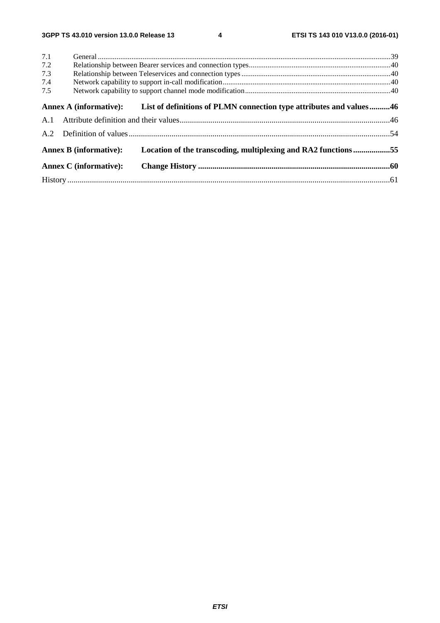| 7.1<br>7.2<br>7.3<br>7.4 |                               |                                                                                            |  |
|--------------------------|-------------------------------|--------------------------------------------------------------------------------------------|--|
| 7.5                      |                               |                                                                                            |  |
|                          |                               | Annex A (informative): List of definitions of PLMN connection type attributes and values46 |  |
|                          |                               |                                                                                            |  |
|                          |                               |                                                                                            |  |
|                          | <b>Annex B</b> (informative): | Location of the transcoding, multiplexing and RA2 functions55                              |  |
|                          | <b>Annex C</b> (informative): |                                                                                            |  |
|                          |                               |                                                                                            |  |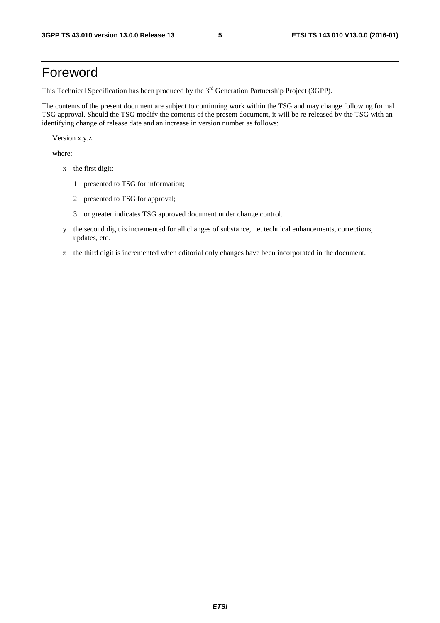## Foreword

This Technical Specification has been produced by the 3<sup>rd</sup> Generation Partnership Project (3GPP).

The contents of the present document are subject to continuing work within the TSG and may change following formal TSG approval. Should the TSG modify the contents of the present document, it will be re-released by the TSG with an identifying change of release date and an increase in version number as follows:

Version x.y.z

where:

- x the first digit:
	- 1 presented to TSG for information;
	- 2 presented to TSG for approval;
	- 3 or greater indicates TSG approved document under change control.
- y the second digit is incremented for all changes of substance, i.e. technical enhancements, corrections, updates, etc.
- z the third digit is incremented when editorial only changes have been incorporated in the document.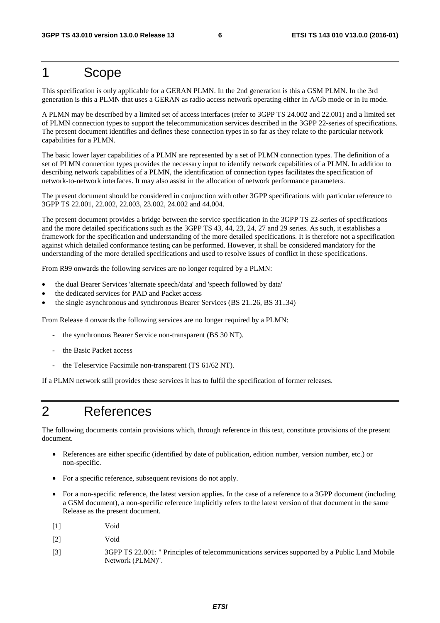## 1 Scope

This specification is only applicable for a GERAN PLMN. In the 2nd generation is this a GSM PLMN. In the 3rd generation is this a PLMN that uses a GERAN as radio access network operating either in A/Gb mode or in Iu mode.

A PLMN may be described by a limited set of access interfaces (refer to 3GPP TS 24.002 and 22.001) and a limited set of PLMN connection types to support the telecommunication services described in the 3GPP 22-series of specifications. The present document identifies and defines these connection types in so far as they relate to the particular network capabilities for a PLMN.

The basic lower layer capabilities of a PLMN are represented by a set of PLMN connection types. The definition of a set of PLMN connection types provides the necessary input to identify network capabilities of a PLMN. In addition to describing network capabilities of a PLMN, the identification of connection types facilitates the specification of network-to-network interfaces. It may also assist in the allocation of network performance parameters.

The present document should be considered in conjunction with other 3GPP specifications with particular reference to 3GPP TS 22.001, 22.002, 22.003, 23.002, 24.002 and 44.004.

The present document provides a bridge between the service specification in the 3GPP TS 22-series of specifications and the more detailed specifications such as the 3GPP TS 43, 44, 23, 24, 27 and 29 series. As such, it establishes a framework for the specification and understanding of the more detailed specifications. It is therefore not a specification against which detailed conformance testing can be performed. However, it shall be considered mandatory for the understanding of the more detailed specifications and used to resolve issues of conflict in these specifications.

From R99 onwards the following services are no longer required by a PLMN:

- the dual Bearer Services 'alternate speech/data' and 'speech followed by data'
- the dedicated services for PAD and Packet access
- the single asynchronous and synchronous Bearer Services (BS 21..26, BS 31..34)

From Release 4 onwards the following services are no longer required by a PLMN:

- the synchronous Bearer Service non-transparent (BS 30 NT).
- the Basic Packet access
- the Teleservice Facsimile non-transparent (TS 61/62 NT).

If a PLMN network still provides these services it has to fulfil the specification of former releases.

## 2 References

The following documents contain provisions which, through reference in this text, constitute provisions of the present document.

- References are either specific (identified by date of publication, edition number, version number, etc.) or non-specific.
- For a specific reference, subsequent revisions do not apply.
- For a non-specific reference, the latest version applies. In the case of a reference to a 3GPP document (including a GSM document), a non-specific reference implicitly refers to the latest version of that document in the same Release as the present document.
- [1] Void
- [2] Void
- [3] 3GPP TS 22.001: " Principles of telecommunications services supported by a Public Land Mobile Network (PLMN)".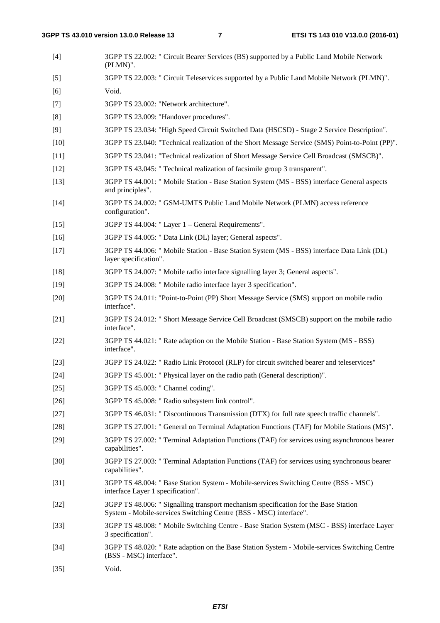| $[4]$  | 3GPP TS 22.002: " Circuit Bearer Services (BS) supported by a Public Land Mobile Network<br>(PLMN)".                                                     |
|--------|----------------------------------------------------------------------------------------------------------------------------------------------------------|
| $[5]$  | 3GPP TS 22.003: " Circuit Teleservices supported by a Public Land Mobile Network (PLMN)".                                                                |
| [6]    | Void.                                                                                                                                                    |
| $[7]$  | 3GPP TS 23.002: "Network architecture".                                                                                                                  |
| [8]    | 3GPP TS 23.009: "Handover procedures".                                                                                                                   |
| $[9]$  | 3GPP TS 23.034: "High Speed Circuit Switched Data (HSCSD) - Stage 2 Service Description".                                                                |
| $[10]$ | 3GPP TS 23.040: "Technical realization of the Short Message Service (SMS) Point-to-Point (PP)".                                                          |
| $[11]$ | 3GPP TS 23.041: "Technical realization of Short Message Service Cell Broadcast (SMSCB)".                                                                 |
| $[12]$ | 3GPP TS 43.045: " Technical realization of facsimile group 3 transparent".                                                                               |
| $[13]$ | 3GPP TS 44.001: " Mobile Station - Base Station System (MS - BSS) interface General aspects<br>and principles".                                          |
| $[14]$ | 3GPP TS 24.002: " GSM-UMTS Public Land Mobile Network (PLMN) access reference<br>configuration".                                                         |
| $[15]$ | 3GPP TS 44.004: "Layer 1 – General Requirements".                                                                                                        |
| $[16]$ | 3GPP TS 44.005: " Data Link (DL) layer; General aspects".                                                                                                |
| $[17]$ | 3GPP TS 44.006: " Mobile Station - Base Station System (MS - BSS) interface Data Link (DL)<br>layer specification".                                      |
| $[18]$ | 3GPP TS 24.007: " Mobile radio interface signalling layer 3; General aspects".                                                                           |
| $[19]$ | 3GPP TS 24.008: " Mobile radio interface layer 3 specification".                                                                                         |
| $[20]$ | 3GPP TS 24.011: "Point-to-Point (PP) Short Message Service (SMS) support on mobile radio<br>interface".                                                  |
| $[21]$ | 3GPP TS 24.012: " Short Message Service Cell Broadcast (SMSCB) support on the mobile radio<br>interface".                                                |
| $[22]$ | 3GPP TS 44.021: " Rate adaption on the Mobile Station - Base Station System (MS - BSS)<br>interface".                                                    |
| $[23]$ | 3GPP TS 24.022: " Radio Link Protocol (RLP) for circuit switched bearer and teleservices"                                                                |
| $[24]$ | 3GPP TS 45.001: " Physical layer on the radio path (General description)".                                                                               |
| $[25]$ | 3GPP TS 45.003: " Channel coding".                                                                                                                       |
| $[26]$ | 3GPP TS 45.008: " Radio subsystem link control".                                                                                                         |
| $[27]$ | 3GPP TS 46.031: " Discontinuous Transmission (DTX) for full rate speech traffic channels".                                                               |
| $[28]$ | 3GPP TS 27.001: " General on Terminal Adaptation Functions (TAF) for Mobile Stations (MS)".                                                              |
| $[29]$ | 3GPP TS 27.002: " Terminal Adaptation Functions (TAF) for services using asynchronous bearer<br>capabilities".                                           |
| $[30]$ | 3GPP TS 27.003: " Terminal Adaptation Functions (TAF) for services using synchronous bearer<br>capabilities".                                            |
| $[31]$ | 3GPP TS 48.004: " Base Station System - Mobile-services Switching Centre (BSS - MSC)<br>interface Layer 1 specification".                                |
| $[32]$ | 3GPP TS 48.006: " Signalling transport mechanism specification for the Base Station<br>System - Mobile-services Switching Centre (BSS - MSC) interface". |
| $[33]$ | 3GPP TS 48.008: " Mobile Switching Centre - Base Station System (MSC - BSS) interface Layer<br>3 specification".                                         |
| $[34]$ | 3GPP TS 48.020: " Rate adaption on the Base Station System - Mobile-services Switching Centre<br>(BSS - MSC) interface".                                 |
| $[35]$ | Void.                                                                                                                                                    |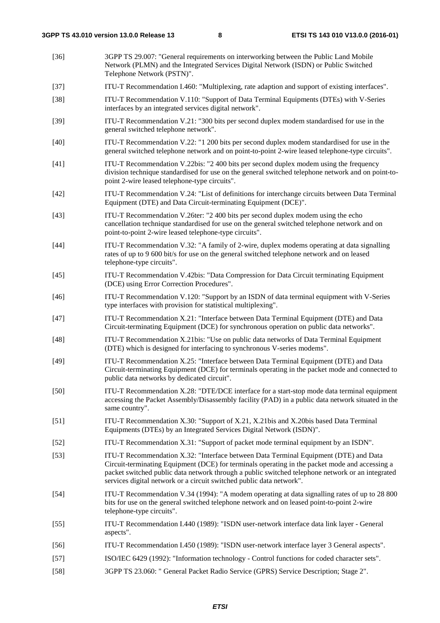- [36] 3GPP TS 29.007: "General requirements on interworking between the Public Land Mobile Network (PLMN) and the Integrated Services Digital Network (ISDN) or Public Switched Telephone Network (PSTN)". [37] ITU-T Recommendation I.460: "Multiplexing, rate adaption and support of existing interfaces". [38] ITU-T Recommendation V.110: "Support of Data Terminal Equipments (DTEs) with V-Series interfaces by an integrated services digital network". [39] ITU-T Recommendation V.21: "300 bits per second duplex modem standardised for use in the general switched telephone network". [40] ITU-T Recommendation V.22: "1 200 bits per second duplex modem standardised for use in the general switched telephone network and on point-to-point 2-wire leased telephone-type circuits". [41] ITU-T Recommendation V.22bis: "2 400 bits per second duplex modem using the frequency division technique standardised for use on the general switched telephone network and on point-topoint 2-wire leased telephone-type circuits". [42] ITU-T Recommendation V.24: "List of definitions for interchange circuits between Data Terminal Equipment (DTE) and Data Circuit-terminating Equipment (DCE)". [43] ITU-T Recommendation V.26ter: "2 400 bits per second duplex modem using the echo cancellation technique standardised for use on the general switched telephone network and on point-to-point 2-wire leased telephone-type circuits". [44] ITU-T Recommendation V.32: "A family of 2-wire, duplex modems operating at data signalling rates of up to 9 600 bit/s for use on the general switched telephone network and on leased telephone-type circuits". [45] ITU-T Recommendation V.42bis: "Data Compression for Data Circuit terminating Equipment (DCE) using Error Correction Procedures". [46] ITU-T Recommendation V.120: "Support by an ISDN of data terminal equipment with V-Series type interfaces with provision for statistical multiplexing". [47] ITU-T Recommendation X.21: "Interface between Data Terminal Equipment (DTE) and Data Circuit-terminating Equipment (DCE) for synchronous operation on public data networks". [48] ITU-T Recommendation X.21bis: "Use on public data networks of Data Terminal Equipment (DTE) which is designed for interfacing to synchronous V-series modems". [49] ITU-T Recommendation X.25: "Interface between Data Terminal Equipment (DTE) and Data Circuit-terminating Equipment (DCE) for terminals operating in the packet mode and connected to public data networks by dedicated circuit". [50] ITU-T Recommendation X.28: "DTE/DCE interface for a start-stop mode data terminal equipment accessing the Packet Assembly/Disassembly facility (PAD) in a public data network situated in the same country". [51] ITU-T Recommendation X.30: "Support of X.21, X.21bis and X.20bis based Data Terminal Equipments (DTEs) by an Integrated Services Digital Network (ISDN)". [52] ITU-T Recommendation X.31: "Support of packet mode terminal equipment by an ISDN". [53] ITU-T Recommendation X.32: "Interface between Data Terminal Equipment (DTE) and Data Circuit-terminating Equipment (DCE) for terminals operating in the packet mode and accessing a packet switched public data network through a public switched telephone network or an integrated services digital network or a circuit switched public data network". [54] ITU-T Recommendation V.34 (1994): "A modem operating at data signalling rates of up to 28 800 bits for use on the general switched telephone network and on leased point-to-point 2-wire telephone-type circuits". [55] ITU-T Recommendation I.440 (1989): "ISDN user-network interface data link layer - General aspects". [56] ITU-T Recommendation I.450 (1989): "ISDN user-network interface layer 3 General aspects". [57] ISO/IEC 6429 (1992): "Information technology - Control functions for coded character sets".
- [58] 3GPP TS 23.060: " General Packet Radio Service (GPRS) Service Description; Stage 2".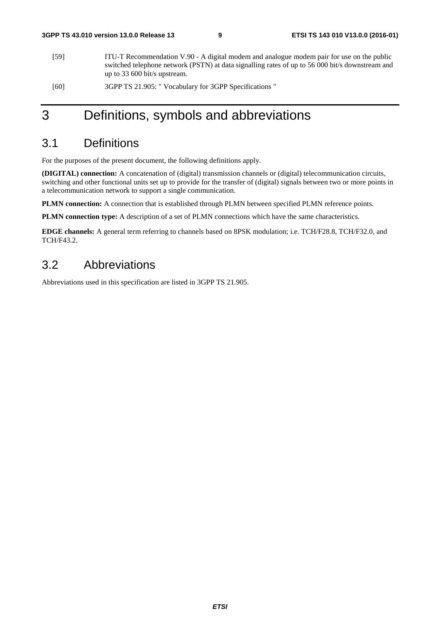- [59] ITU-T Recommendation V.90 A digital modem and analogue modem pair for use on the public switched telephone network (PSTN) at data signalling rates of up to 56 000 bit/s downstream and up to 33 600 bit/s upstream.
- [60] 3GPP TS 21.905: " Vocabulary for 3GPP Specifications "

## 3 Definitions, symbols and abbreviations

## 3.1 Definitions

For the purposes of the present document, the following definitions apply.

**(DIGITAL) connection:** A concatenation of (digital) transmission channels or (digital) telecommunication circuits, switching and other functional units set up to provide for the transfer of (digital) signals between two or more points in a telecommunication network to support a single communication.

**PLMN connection:** A connection that is established through PLMN between specified PLMN reference points.

**PLMN connection type:** A description of a set of PLMN connections which have the same characteristics.

**EDGE channels:** A general term referring to channels based on 8PSK modulation; i.e. TCH/F28.8, TCH/F32.0, and TCH/F43.2.

### 3.2 Abbreviations

Abbreviations used in this specification are listed in 3GPP TS 21.905.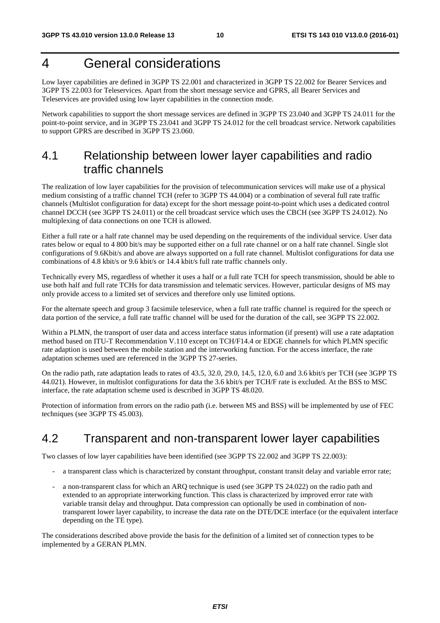## 4 General considerations

Low layer capabilities are defined in 3GPP TS 22.001 and characterized in 3GPP TS 22.002 for Bearer Services and 3GPP TS 22.003 for Teleservices. Apart from the short message service and GPRS, all Bearer Services and Teleservices are provided using low layer capabilities in the connection mode.

Network capabilities to support the short message services are defined in 3GPP TS 23.040 and 3GPP TS 24.011 for the point-to-point service, and in 3GPP TS 23.041 and 3GPP TS 24.012 for the cell broadcast service. Network capabilities to support GPRS are described in 3GPP TS 23.060.

## 4.1 Relationship between lower layer capabilities and radio traffic channels

The realization of low layer capabilities for the provision of telecommunication services will make use of a physical medium consisting of a traffic channel TCH (refer to 3GPP TS 44.004) or a combination of several full rate traffic channels (Multislot configuration for data) except for the short message point-to-point which uses a dedicated control channel DCCH (see 3GPP TS 24.011) or the cell broadcast service which uses the CBCH (see 3GPP TS 24.012). No multiplexing of data connections on one TCH is allowed.

Either a full rate or a half rate channel may be used depending on the requirements of the individual service. User data rates below or equal to 4 800 bit/s may be supported either on a full rate channel or on a half rate channel. Single slot configurations of 9.6Kbit/s and above are always supported on a full rate channel. Multislot configurations for data use combinations of 4.8 kbit/s or 9.6 kbit/s or 14.4 kbit/s full rate traffic channels only.

Technically every MS, regardless of whether it uses a half or a full rate TCH for speech transmission, should be able to use both half and full rate TCHs for data transmission and telematic services. However, particular designs of MS may only provide access to a limited set of services and therefore only use limited options.

For the alternate speech and group 3 facsimile teleservice, when a full rate traffic channel is required for the speech or data portion of the service, a full rate traffic channel will be used for the duration of the call, see 3GPP TS 22.002.

Within a PLMN, the transport of user data and access interface status information (if present) will use a rate adaptation method based on ITU-T Recommendation V.110 except on TCH/F14.4 or EDGE channels for which PLMN specific rate adaption is used between the mobile station and the interworking function. For the access interface, the rate adaptation schemes used are referenced in the 3GPP TS 27-series.

On the radio path, rate adaptation leads to rates of 43.5, 32.0, 29.0, 14.5, 12.0, 6.0 and 3.6 kbit/s per TCH (see 3GPP TS 44.021). However, in multislot configurations for data the 3.6 kbit/s per TCH/F rate is excluded. At the BSS to MSC interface, the rate adaptation scheme used is described in 3GPP TS 48.020.

Protection of information from errors on the radio path (i.e. between MS and BSS) will be implemented by use of FEC techniques (see 3GPP TS 45.003).

## 4.2 Transparent and non-transparent lower layer capabilities

Two classes of low layer capabilities have been identified (see 3GPP TS 22.002 and 3GPP TS 22.003):

- a transparent class which is characterized by constant throughput, constant transit delay and variable error rate;
- a non-transparent class for which an ARQ technique is used (see 3GPP TS 24.022) on the radio path and extended to an appropriate interworking function. This class is characterized by improved error rate with variable transit delay and throughput. Data compression can optionally be used in combination of nontransparent lower layer capability, to increase the data rate on the DTE/DCE interface (or the equivalent interface depending on the TE type).

The considerations described above provide the basis for the definition of a limited set of connection types to be implemented by a GERAN PLMN.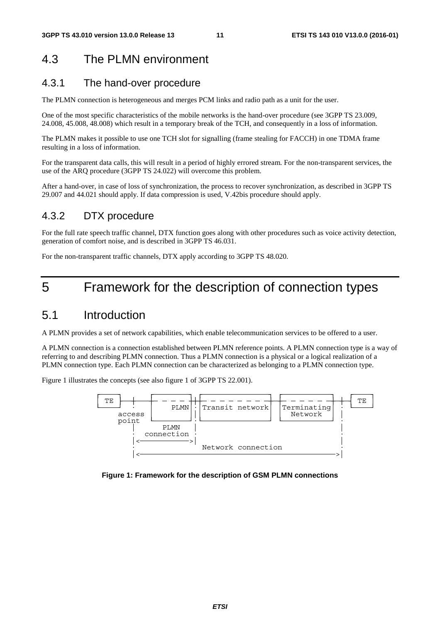## 4.3 The PLMN environment

### 4.3.1 The hand-over procedure

The PLMN connection is heterogeneous and merges PCM links and radio path as a unit for the user.

One of the most specific characteristics of the mobile networks is the hand-over procedure (see 3GPP TS 23.009, 24.008, 45.008, 48.008) which result in a temporary break of the TCH, and consequently in a loss of information.

The PLMN makes it possible to use one TCH slot for signalling (frame stealing for FACCH) in one TDMA frame resulting in a loss of information.

For the transparent data calls, this will result in a period of highly errored stream. For the non-transparent services, the use of the ARQ procedure (3GPP TS 24.022) will overcome this problem.

After a hand-over, in case of loss of synchronization, the process to recover synchronization, as described in 3GPP TS 29.007 and 44.021 should apply. If data compression is used, V.42bis procedure should apply.

### 4.3.2 DTX procedure

For the full rate speech traffic channel, DTX function goes along with other procedures such as voice activity detection, generation of comfort noise, and is described in 3GPP TS 46.031.

For the non-transparent traffic channels, DTX apply according to 3GPP TS 48.020.

## 5 Framework for the description of connection types

### 5.1 Introduction

A PLMN provides a set of network capabilities, which enable telecommunication services to be offered to a user.

A PLMN connection is a connection established between PLMN reference points. A PLMN connection type is a way of referring to and describing PLMN connection. Thus a PLMN connection is a physical or a logical realization of a PLMN connection type. Each PLMN connection can be characterized as belonging to a PLMN connection type.

Figure 1 illustrates the concepts (see also figure 1 of 3GPP TS 22.001).



**Figure 1: Framework for the description of GSM PLMN connections**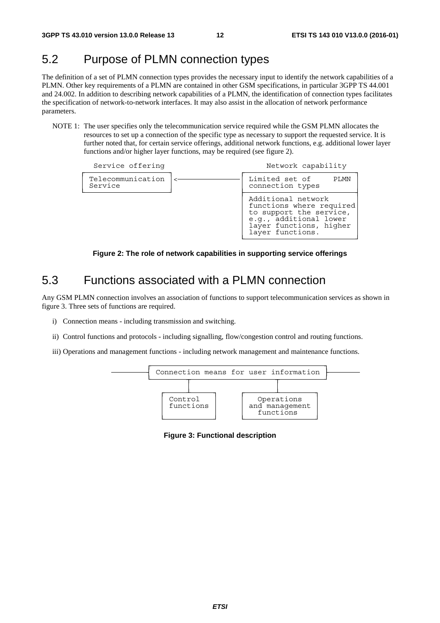## 5.2 Purpose of PLMN connection types

The definition of a set of PLMN connection types provides the necessary input to identify the network capabilities of a PLMN. Other key requirements of a PLMN are contained in other GSM specifications, in particular 3GPP TS 44.001 and 24.002. In addition to describing network capabilities of a PLMN, the identification of connection types facilitates the specification of network-to-network interfaces. It may also assist in the allocation of network performance parameters.

NOTE 1: The user specifies only the telecommunication service required while the GSM PLMN allocates the resources to set up a connection of the specific type as necessary to support the requested service. It is further noted that, for certain service offerings, additional network functions, e.g. additional lower layer functions and/or higher layer functions, may be required (see figure 2).

| Service offering             |                                    | Network capability                                                                                                                                 |  |  |
|------------------------------|------------------------------------|----------------------------------------------------------------------------------------------------------------------------------------------------|--|--|
| Telecommunication<br>Service | Limited set of<br>connection types |                                                                                                                                                    |  |  |
|                              |                                    | Additional network<br>functions where required<br>to support the service,<br>e.g., additional lower<br>layer functions, higher<br>layer functions. |  |  |

**Figure 2: The role of network capabilities in supporting service offerings** 

### 5.3 Functions associated with a PLMN connection

Any GSM PLMN connection involves an association of functions to support telecommunication services as shown in figure 3. Three sets of functions are required.

- i) Connection means including transmission and switching.
- ii) Control functions and protocols including signalling, flow/congestion control and routing functions.
- iii) Operations and management functions including network management and maintenance functions.



**Figure 3: Functional description**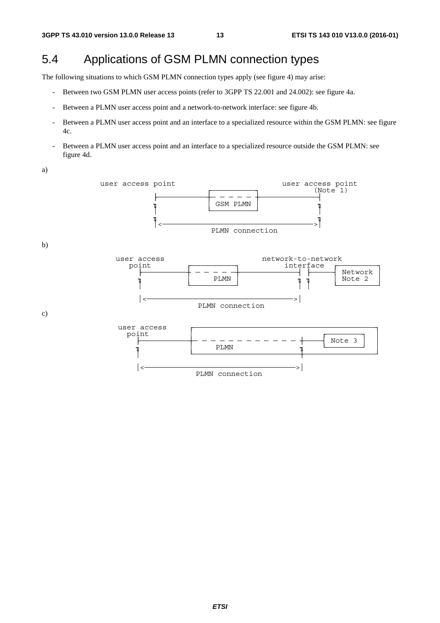## 5.4 Applications of GSM PLMN connection types

The following situations to which GSM PLMN connection types apply (see figure 4) may arise:

- Between two GSM PLMN user access points (refer to 3GPP TS 22.001 and 24.002): see figure 4a.
- Between a PLMN user access point and a network-to-network interface: see figure 4b.
- Between a PLMN user access point and an interface to a specialized resource within the GSM PLMN: see figure 4c.
- Between a PLMN user access point and an interface to a specialized resource outside the GSM PLMN: see figure 4d.

a)

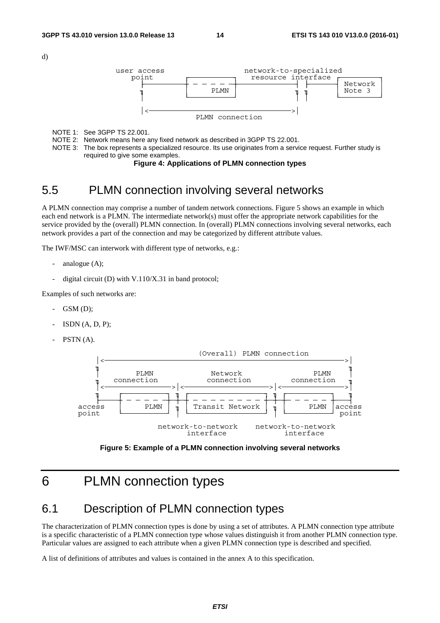d)



NOTE 1: See 3GPP TS 22.001.

NOTE 2: Network means here any fixed network as described in 3GPP TS 22.001.

NOTE 3: The box represents a specialized resource. Its use originates from a service request. Further study is required to give some examples.

#### **Figure 4: Applications of PLMN connection types**

### 5.5 PLMN connection involving several networks

A PLMN connection may comprise a number of tandem network connections. Figure 5 shows an example in which each end network is a PLMN. The intermediate network(s) must offer the appropriate network capabilities for the service provided by the (overall) PLMN connection. In (overall) PLMN connections involving several networks, each network provides a part of the connection and may be categorized by different attribute values.

The IWF/MSC can interwork with different type of networks, e.g.:

- analogue  $(A)$ ;
- digital circuit (D) with V.110/X.31 in band protocol;

Examples of such networks are:

- $GSM$   $(D)$ :
- $ISDN(A, D, P);$
- $PSTN(A)$ .





## 6 PLMN connection types

## 6.1 Description of PLMN connection types

The characterization of PLMN connection types is done by using a set of attributes. A PLMN connection type attribute is a specific characteristic of a PLMN connection type whose values distinguish it from another PLMN connection type. Particular values are assigned to each attribute when a given PLMN connection type is described and specified.

A list of definitions of attributes and values is contained in the annex A to this specification.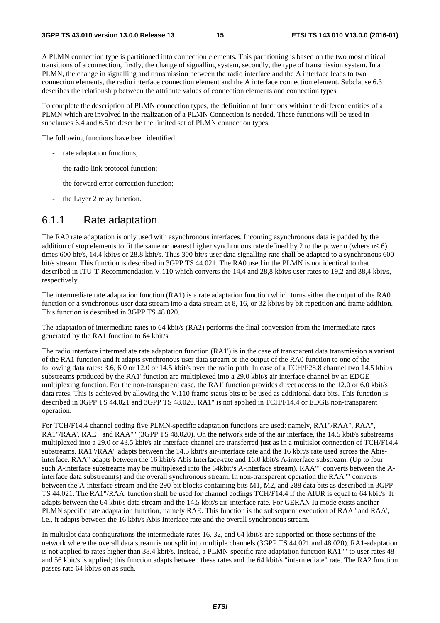A PLMN connection type is partitioned into connection elements. This partitioning is based on the two most critical transitions of a connection, firstly, the change of signalling system, secondly, the type of transmission system. In a PLMN, the change in signalling and transmission between the radio interface and the A interface leads to two connection elements, the radio interface connection element and the A interface connection element. Subclause 6.3 describes the relationship between the attribute values of connection elements and connection types.

To complete the description of PLMN connection types, the definition of functions within the different entities of a PLMN which are involved in the realization of a PLMN Connection is needed. These functions will be used in subclauses 6.4 and 6.5 to describe the limited set of PLMN connection types.

The following functions have been identified:

- rate adaptation functions;
- the radio link protocol function;
- the forward error correction function;
- the Layer 2 relay function.

### 6.1.1 Rate adaptation

The RA0 rate adaptation is only used with asynchronous interfaces. Incoming asynchronous data is padded by the addition of stop elements to fit the same or nearest higher synchronous rate defined by 2 to the power n (where  $n \le 6$ ) times 600 bit/s, 14.4 kbit/s or 28.8 kbit/s. Thus 300 bit/s user data signalling rate shall be adapted to a synchronous 600 bit/s stream. This function is described in 3GPP TS 44.021. The RA0 used in the PLMN is not identical to that described in ITU-T Recommendation V.110 which converts the 14,4 and 28,8 kbit/s user rates to 19,2 and 38,4 kbit/s, respectively.

The intermediate rate adaptation function (RA1) is a rate adaptation function which turns either the output of the RA0 function or a synchronous user data stream into a data stream at 8, 16, or 32 kbit/s by bit repetition and frame addition. This function is described in 3GPP TS 48.020.

The adaptation of intermediate rates to 64 kbit/s (RA2) performs the final conversion from the intermediate rates generated by the RA1 function to 64 kbit/s.

The radio interface intermediate rate adaptation function (RA1') is in the case of transparent data transmission a variant of the RA1 function and it adapts synchronous user data stream or the output of the RA0 function to one of the following data rates: 3.6, 6.0 or 12.0 or 14.5 kbit/s over the radio path. In case of a TCH/F28.8 channel two 14.5 kbit/s substreams produced by the RA1' function are multiplexed into a 29.0 kbit/s air interface channel by an EDGE multiplexing function. For the non-transparent case, the RA1' function provides direct access to the 12.0 or 6.0 kbit/s data rates. This is achieved by allowing the V.110 frame status bits to be used as additional data bits. This function is described in 3GPP TS 44.021 and 3GPP TS 48.020. RA1" is not applied in TCH/F14.4 or EDGE non-transparent operation.

For TCH/F14.4 channel coding five PLMN-specific adaptation functions are used: namely, RA1"/RAA", RAA", RA1"/RAA', RAE and RAA"" (3GPP TS 48.020). On the network side of the air interface, the 14.5 kbit/s substreams multiplexed into a 29.0 or 43.5 kbit/s air interface channel are transferred just as in a multislot connection of TCH/F14.4 substreams. RA1"/RAA" adapts between the 14.5 kbit/s air-interface rate and the 16 kbit/s rate used across the Abisinterface. RAA" adapts between the 16 kbit/s Abis Interface-rate and 16.0 kbit/s A-interface substream. (Up to four such A-interface substreams may be multiplexed into the 64kbit/s A-interface stream). RAA"" converts between the Ainterface data substream(s) and the overall synchronous stream. In non-transparent operation the RAA"" converts between the A-interface stream and the 290-bit blocks containing bits M1, M2, and 288 data bits as described in 3GPP TS 44.021. The RA1"/RAA' function shall be used for channel codings TCH/F14.4 if the AIUR is equal to 64 kbit/s. It adapts between the 64 kbit/s data stream and the 14.5 kbit/s air-interface rate. For GERAN Iu mode exists another PLMN specific rate adaptation function, namely RAE. This function is the subsequent execution of RAA" and RAA', i.e., it adapts between the 16 kbit/s Abis Interface rate and the overall synchronous stream.

In multislot data configurations the intermediate rates 16, 32, and 64 kbit/s are supported on those sections of the network where the overall data stream is not split into multiple channels (3GPP TS 44.021 and 48.020). RA1-adaptation is not applied to rates higher than 38.4 kbit/s. Instead, a PLMN-specific rate adaptation function RA1"" to user rates 48 and 56 kbit/s is applied; this function adapts between these rates and the 64 kbit/s "intermediate" rate. The RA2 function passes rate 64 kbit/s on as such.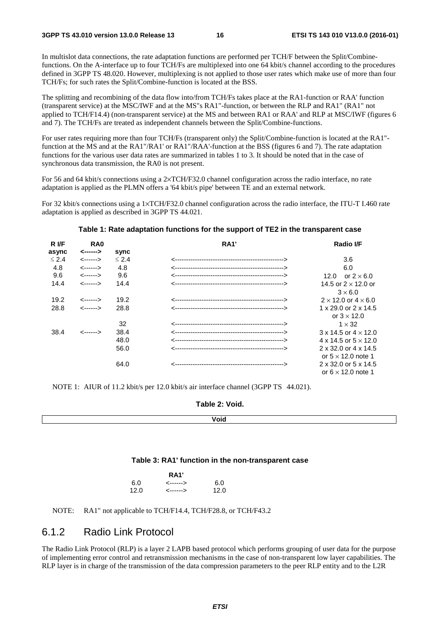In multislot data connections, the rate adaptation functions are performed per TCH/F between the Split/Combinefunctions. On the A-interface up to four TCH/Fs are multiplexed into one 64 kbit/s channel according to the procedures defined in 3GPP TS 48.020. However, multiplexing is not applied to those user rates which make use of more than four TCH/Fs; for such rates the Split/Combine-function is located at the BSS.

The splitting and recombining of the data flow into/from TCH/Fs takes place at the RA1-function or RAA' function (transparent service) at the MSC/IWF and at the MS"s RA1"-function, or between the RLP and RA1" (RA1" not applied to TCH/F14.4) (non-transparent service) at the MS and between RA1 or RAA' and RLP at MSC/IWF (figures 6 and 7). The TCH/Fs are treated as independent channels between the Split/Combine-functions.

For user rates requiring more than four TCH/Fs (transparent only) the Split/Combine-function is located at the RA1" function at the MS and at the RA1"/RA1' or RA1"/RAA'-function at the BSS (figures 6 and 7). The rate adaptation functions for the various user data rates are summarized in tables 1 to 3. It should be noted that in the case of synchronous data transmission, the RA0 is not present.

For 56 and 64 kbit/s connections using a 2×TCH/F32.0 channel configuration across the radio interface, no rate adaptation is applied as the PLMN offers a '64 kbit/s pipe' between TE and an external network.

For 32 kbit/s connections using a 1×TCH/F32.0 channel configuration across the radio interface, the ITU-T I.460 rate adaptation is applied as described in 3GPP TS 44.021.

| R I/F      | RA <sub>0</sub> |            | <b>RA1'</b> | <b>Radio I/F</b>                   |
|------------|-----------------|------------|-------------|------------------------------------|
| async      | <------>        | sync       |             |                                    |
| $\leq 2.4$ | <------>        | $\leq 2.4$ |             | 3.6                                |
| 4.8        | <------>        | 4.8        |             | 6.0                                |
| 9.6        | <------>        | 9.6        |             | or $2 \times 6.0$<br>12.0          |
| 14.4       | <------>        | 14.4       |             | 14.5 or $2 \times 12.0$ or         |
|            |                 |            |             | $3\times 6.0$                      |
| 19.2       | <------>        | 19.2       |             | $2 \times 12.0$ or $4 \times 6.0$  |
| 28.8       | <------>        | 28.8       |             | 1 x 29.0 or 2 x 14.5               |
|            |                 |            |             | or $3 \times 12.0$                 |
|            |                 | 32         |             | $1 \times 32$                      |
| 38.4       | <------>        | 38.4       |             | $3 \times 14.5$ or $4 \times 12.0$ |
|            |                 | 48.0       |             | 4 x 14.5 or $5 \times 12.0$        |
|            |                 | 56.0       |             | 2 x 32.0 or 4 x 14.5               |
|            |                 |            |             | or $5 \times 12.0$ note 1          |
|            |                 | 64.0       |             | 2 x 32.0 or 5 x 14.5               |
|            |                 |            |             | or $6 \times 12.0$ note 1          |

### **Table 1: Rate adaptation functions for the support of TE2 in the transparent case**

NOTE 1: AIUR of 11.2 kbit/s per 12.0 kbit/s air interface channel (3GPP TS 44.021).

**Void**

#### **Table 3: RA1' function in the non-transparent case**

| <b>RA1'</b> |          |      |  |  |
|-------------|----------|------|--|--|
| 6.0         | <------> | 6.0  |  |  |
| 12.0        | <------> | 12.0 |  |  |

NOTE: RA1" not applicable to TCH/F14.4, TCH/F28.8, or TCH/F43.2

### 6.1.2 Radio Link Protocol

The Radio Link Protocol (RLP) is a layer 2 LAPB based protocol which performs grouping of user data for the purpose of implementing error control and retransmission mechanisms in the case of non-transparent low layer capabilities. The RLP layer is in charge of the transmission of the data compression parameters to the peer RLP entity and to the L2R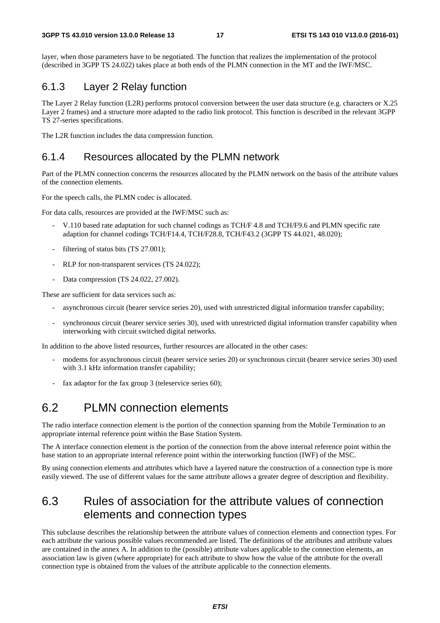layer, when those parameters have to be negotiated. The function that realizes the implementation of the protocol (described in 3GPP TS 24.022) takes place at both ends of the PLMN connection in the MT and the IWF/MSC.

### 6.1.3 Layer 2 Relay function

The Layer 2 Relay function (L2R) performs protocol conversion between the user data structure (e.g. characters or X.25 Layer 2 frames) and a structure more adapted to the radio link protocol. This function is described in the relevant 3GPP TS 27-series specifications.

The L2R function includes the data compression function.

### 6.1.4 Resources allocated by the PLMN network

Part of the PLMN connection concerns the resources allocated by the PLMN network on the basis of the attribute values of the connection elements.

For the speech calls, the PLMN codec is allocated.

For data calls, resources are provided at the IWF/MSC such as:

- V.110 based rate adaptation for such channel codings as TCH/F 4.8 and TCH/F9.6 and PLMN specific rate adaption for channel codings TCH/F14.4, TCH/F28.8, TCH/F43.2 (3GPP TS 44.021, 48.020);
- filtering of status bits (TS 27.001);
- RLP for non-transparent services (TS 24.022);
- Data compression (TS 24.022, 27.002).

These are sufficient for data services such as:

- asynchronous circuit (bearer service series 20), used with unrestricted digital information transfer capability;
- synchronous circuit (bearer service series 30), used with unrestricted digital information transfer capability when interworking with circuit switched digital networks.

In addition to the above listed resources, further resources are allocated in the other cases:

- modems for asynchronous circuit (bearer service series 20) or synchronous circuit (bearer service series 30) used with 3.1 kHz information transfer capability;
- fax adaptor for the fax group 3 (teleservice series 60);

### 6.2 PLMN connection elements

The radio interface connection element is the portion of the connection spanning from the Mobile Termination to an appropriate internal reference point within the Base Station System.

The A interface connection element is the portion of the connection from the above internal reference point within the base station to an appropriate internal reference point within the interworking function (IWF) of the MSC.

By using connection elements and attributes which have a layered nature the construction of a connection type is more easily viewed. The use of different values for the same attribute allows a greater degree of description and flexibility.

## 6.3 Rules of association for the attribute values of connection elements and connection types

This subclause describes the relationship between the attribute values of connection elements and connection types. For each attribute the various possible values recommended are listed. The definitions of the attributes and attribute values are contained in the annex A. In addition to the (possible) attribute values applicable to the connection elements, an association law is given (where appropriate) for each attribute to show how the value of the attribute for the overall connection type is obtained from the values of the attribute applicable to the connection elements.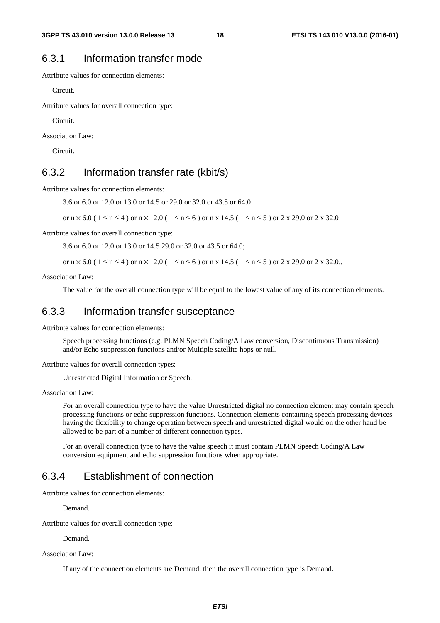### 6.3.1 Information transfer mode

Attribute values for connection elements:

Circuit.

Attribute values for overall connection type:

Circuit.

Association Law:

Circuit.

### 6.3.2 Information transfer rate (kbit/s)

Attribute values for connection elements:

3.6 or 6.0 or 12.0 or 13.0 or 14.5 or 29.0 or 32.0 or 43.5 or 64.0

or  $n \times 6.0$  (  $1 \le n \le 4$  ) or  $n \times 12.0$  (  $1 \le n \le 6$  ) or  $n \times 14.5$  (  $1 \le n \le 5$  ) or  $2 \times 29.0$  or  $2 \times 32.0$ 

Attribute values for overall connection type:

3.6 or 6.0 or 12.0 or 13.0 or 14.5 29.0 or 32.0 or 43.5 or 64.0;

or  $n \times 6.0$  (  $1 \le n \le 4$  ) or  $n \times 12.0$  (  $1 \le n \le 6$  ) or  $n \times 14.5$  (  $1 \le n \le 5$  ) or  $2 \times 29.0$  or  $2 \times 32.0$ ..

Association Law:

The value for the overall connection type will be equal to the lowest value of any of its connection elements.

### 6.3.3 Information transfer susceptance

Attribute values for connection elements:

 Speech processing functions (e.g. PLMN Speech Coding/A Law conversion, Discontinuous Transmission) and/or Echo suppression functions and/or Multiple satellite hops or null.

Attribute values for overall connection types:

Unrestricted Digital Information or Speech.

Association Law:

 For an overall connection type to have the value Unrestricted digital no connection element may contain speech processing functions or echo suppression functions. Connection elements containing speech processing devices having the flexibility to change operation between speech and unrestricted digital would on the other hand be allowed to be part of a number of different connection types.

 For an overall connection type to have the value speech it must contain PLMN Speech Coding/A Law conversion equipment and echo suppression functions when appropriate.

### 6.3.4 Establishment of connection

Attribute values for connection elements:

Demand.

Attribute values for overall connection type:

Demand.

Association Law:

If any of the connection elements are Demand, then the overall connection type is Demand.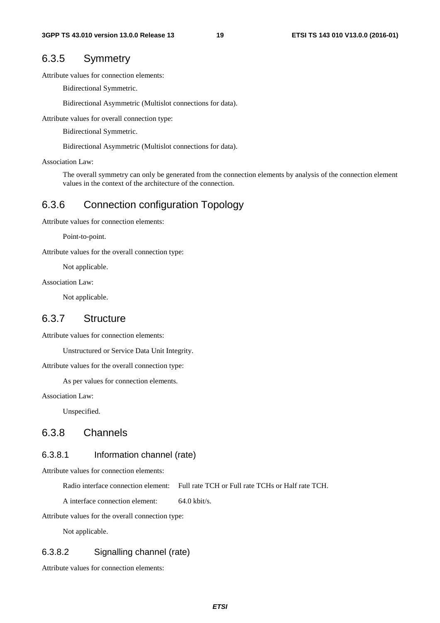### 6.3.5 Symmetry

Attribute values for connection elements:

Bidirectional Symmetric.

Bidirectional Asymmetric (Multislot connections for data).

Attribute values for overall connection type:

Bidirectional Symmetric.

Bidirectional Asymmetric (Multislot connections for data).

Association Law:

 The overall symmetry can only be generated from the connection elements by analysis of the connection element values in the context of the architecture of the connection.

### 6.3.6 Connection configuration Topology

Attribute values for connection elements:

Point-to-point.

Attribute values for the overall connection type:

Not applicable.

Association Law:

Not applicable.

### 6.3.7 Structure

Attribute values for connection elements:

Unstructured or Service Data Unit Integrity.

Attribute values for the overall connection type:

As per values for connection elements.

Association Law:

Unspecified.

### 6.3.8 Channels

### 6.3.8.1 Information channel (rate)

Attribute values for connection elements:

Radio interface connection element: Full rate TCH or Full rate TCHs or Half rate TCH.

A interface connection element: 64.0 kbit/s.

Attribute values for the overall connection type:

Not applicable.

### 6.3.8.2 Signalling channel (rate)

Attribute values for connection elements: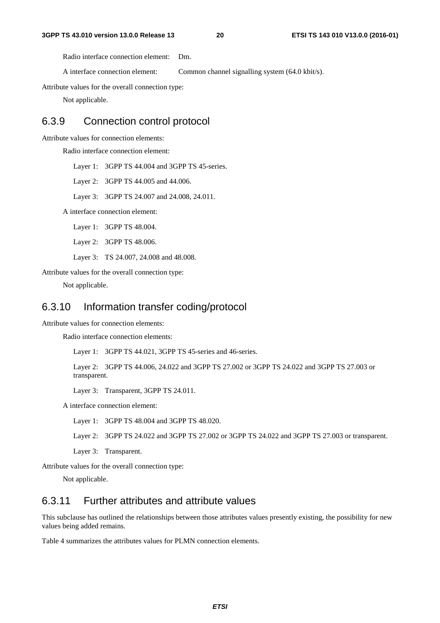Radio interface connection element: Dm.

A interface connection element: Common channel signalling system (64.0 kbit/s).

Attribute values for the overall connection type:

Not applicable.

### 6.3.9 Connection control protocol

Attribute values for connection elements:

Radio interface connection element:

Layer 1: 3GPP TS 44.004 and 3GPP TS 45-series.

Layer 2: 3GPP TS 44.005 and 44.006.

Layer 3: 3GPP TS 24.007 and 24.008, 24.011.

A interface connection element:

Layer 1: 3GPP TS 48.004.

Layer 2: 3GPP TS 48.006.

Layer 3: TS 24.007, 24.008 and 48.008.

Attribute values for the overall connection type:

Not applicable.

### 6.3.10 Information transfer coding/protocol

Attribute values for connection elements:

Radio interface connection elements:

Layer 1: 3GPP TS 44.021, 3GPP TS 45-series and 46-series.

 Layer 2: 3GPP TS 44.006, 24.022 and 3GPP TS 27.002 or 3GPP TS 24.022 and 3GPP TS 27.003 or transparent.

Layer 3: Transparent, 3GPP TS 24.011.

A interface connection element:

Layer 1: 3GPP TS 48.004 and 3GPP TS 48.020.

Layer 2: 3GPP TS 24.022 and 3GPP TS 27.002 or 3GPP TS 24.022 and 3GPP TS 27.003 or transparent.

Layer 3: Transparent.

Attribute values for the overall connection type:

Not applicable.

### 6.3.11 Further attributes and attribute values

This subclause has outlined the relationships between those attributes values presently existing, the possibility for new values being added remains.

Table 4 summarizes the attributes values for PLMN connection elements.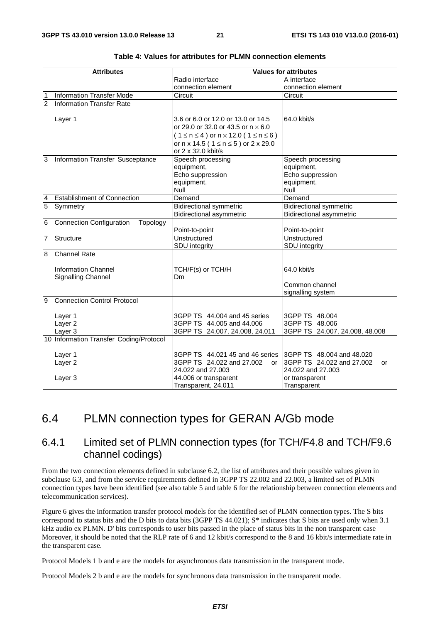|                                            | <b>Attributes</b>                                                                                                                                                                                                                                                                         |                                                                                                                                                                                                                                                                                                                                                                                     | <b>Values for attributes</b>                                                                                                                                                                                                                                                                                             |
|--------------------------------------------|-------------------------------------------------------------------------------------------------------------------------------------------------------------------------------------------------------------------------------------------------------------------------------------------|-------------------------------------------------------------------------------------------------------------------------------------------------------------------------------------------------------------------------------------------------------------------------------------------------------------------------------------------------------------------------------------|--------------------------------------------------------------------------------------------------------------------------------------------------------------------------------------------------------------------------------------------------------------------------------------------------------------------------|
|                                            |                                                                                                                                                                                                                                                                                           | Radio interface                                                                                                                                                                                                                                                                                                                                                                     | A interface                                                                                                                                                                                                                                                                                                              |
|                                            |                                                                                                                                                                                                                                                                                           | connection element                                                                                                                                                                                                                                                                                                                                                                  | connection element                                                                                                                                                                                                                                                                                                       |
| 1                                          | <b>Information Transfer Mode</b>                                                                                                                                                                                                                                                          | Circuit                                                                                                                                                                                                                                                                                                                                                                             | Circuit                                                                                                                                                                                                                                                                                                                  |
| $\overline{2}$                             | <b>Information Transfer Rate</b>                                                                                                                                                                                                                                                          |                                                                                                                                                                                                                                                                                                                                                                                     |                                                                                                                                                                                                                                                                                                                          |
|                                            |                                                                                                                                                                                                                                                                                           |                                                                                                                                                                                                                                                                                                                                                                                     |                                                                                                                                                                                                                                                                                                                          |
|                                            | Layer 1                                                                                                                                                                                                                                                                                   | 3.6 or 6.0 or 12.0 or 13.0 or 14.5                                                                                                                                                                                                                                                                                                                                                  | 64.0 kbit/s                                                                                                                                                                                                                                                                                                              |
|                                            |                                                                                                                                                                                                                                                                                           | or 29.0 or 32.0 or 43.5 or $n \times 6.0$                                                                                                                                                                                                                                                                                                                                           |                                                                                                                                                                                                                                                                                                                          |
|                                            |                                                                                                                                                                                                                                                                                           | $(1 \le n \le 4)$ or $n \times 12.0$ (1 $\le n \le 6$ )                                                                                                                                                                                                                                                                                                                             |                                                                                                                                                                                                                                                                                                                          |
|                                            |                                                                                                                                                                                                                                                                                           | or $n \times 14.5$ (1 $\le n \le 5$ ) or 2 x 29.0                                                                                                                                                                                                                                                                                                                                   |                                                                                                                                                                                                                                                                                                                          |
|                                            |                                                                                                                                                                                                                                                                                           | or 2 x 32.0 kbit/s                                                                                                                                                                                                                                                                                                                                                                  |                                                                                                                                                                                                                                                                                                                          |
| 3                                          | Information Transfer Susceptance                                                                                                                                                                                                                                                          | Speech processing                                                                                                                                                                                                                                                                                                                                                                   | Speech processing                                                                                                                                                                                                                                                                                                        |
|                                            |                                                                                                                                                                                                                                                                                           | equipment,                                                                                                                                                                                                                                                                                                                                                                          | equipment,                                                                                                                                                                                                                                                                                                               |
|                                            |                                                                                                                                                                                                                                                                                           | Echo suppression                                                                                                                                                                                                                                                                                                                                                                    | Echo suppression                                                                                                                                                                                                                                                                                                         |
|                                            |                                                                                                                                                                                                                                                                                           | equipment,                                                                                                                                                                                                                                                                                                                                                                          | equipment,                                                                                                                                                                                                                                                                                                               |
|                                            |                                                                                                                                                                                                                                                                                           | Null                                                                                                                                                                                                                                                                                                                                                                                | Null                                                                                                                                                                                                                                                                                                                     |
| $\overline{a}$                             | <b>Establishment of Connection</b>                                                                                                                                                                                                                                                        | Demand                                                                                                                                                                                                                                                                                                                                                                              | Demand                                                                                                                                                                                                                                                                                                                   |
|                                            |                                                                                                                                                                                                                                                                                           |                                                                                                                                                                                                                                                                                                                                                                                     |                                                                                                                                                                                                                                                                                                                          |
|                                            |                                                                                                                                                                                                                                                                                           |                                                                                                                                                                                                                                                                                                                                                                                     |                                                                                                                                                                                                                                                                                                                          |
|                                            |                                                                                                                                                                                                                                                                                           |                                                                                                                                                                                                                                                                                                                                                                                     |                                                                                                                                                                                                                                                                                                                          |
|                                            |                                                                                                                                                                                                                                                                                           |                                                                                                                                                                                                                                                                                                                                                                                     |                                                                                                                                                                                                                                                                                                                          |
|                                            |                                                                                                                                                                                                                                                                                           |                                                                                                                                                                                                                                                                                                                                                                                     |                                                                                                                                                                                                                                                                                                                          |
|                                            |                                                                                                                                                                                                                                                                                           |                                                                                                                                                                                                                                                                                                                                                                                     |                                                                                                                                                                                                                                                                                                                          |
|                                            |                                                                                                                                                                                                                                                                                           |                                                                                                                                                                                                                                                                                                                                                                                     |                                                                                                                                                                                                                                                                                                                          |
|                                            |                                                                                                                                                                                                                                                                                           |                                                                                                                                                                                                                                                                                                                                                                                     |                                                                                                                                                                                                                                                                                                                          |
|                                            |                                                                                                                                                                                                                                                                                           | Dm                                                                                                                                                                                                                                                                                                                                                                                  |                                                                                                                                                                                                                                                                                                                          |
|                                            |                                                                                                                                                                                                                                                                                           |                                                                                                                                                                                                                                                                                                                                                                                     | Common channel                                                                                                                                                                                                                                                                                                           |
|                                            |                                                                                                                                                                                                                                                                                           |                                                                                                                                                                                                                                                                                                                                                                                     | signalling system                                                                                                                                                                                                                                                                                                        |
| 9                                          | <b>Connection Control Protocol</b>                                                                                                                                                                                                                                                        |                                                                                                                                                                                                                                                                                                                                                                                     |                                                                                                                                                                                                                                                                                                                          |
|                                            |                                                                                                                                                                                                                                                                                           |                                                                                                                                                                                                                                                                                                                                                                                     |                                                                                                                                                                                                                                                                                                                          |
|                                            |                                                                                                                                                                                                                                                                                           |                                                                                                                                                                                                                                                                                                                                                                                     |                                                                                                                                                                                                                                                                                                                          |
|                                            |                                                                                                                                                                                                                                                                                           |                                                                                                                                                                                                                                                                                                                                                                                     |                                                                                                                                                                                                                                                                                                                          |
|                                            |                                                                                                                                                                                                                                                                                           |                                                                                                                                                                                                                                                                                                                                                                                     |                                                                                                                                                                                                                                                                                                                          |
|                                            |                                                                                                                                                                                                                                                                                           |                                                                                                                                                                                                                                                                                                                                                                                     |                                                                                                                                                                                                                                                                                                                          |
|                                            |                                                                                                                                                                                                                                                                                           |                                                                                                                                                                                                                                                                                                                                                                                     |                                                                                                                                                                                                                                                                                                                          |
|                                            |                                                                                                                                                                                                                                                                                           |                                                                                                                                                                                                                                                                                                                                                                                     |                                                                                                                                                                                                                                                                                                                          |
|                                            |                                                                                                                                                                                                                                                                                           |                                                                                                                                                                                                                                                                                                                                                                                     |                                                                                                                                                                                                                                                                                                                          |
|                                            |                                                                                                                                                                                                                                                                                           |                                                                                                                                                                                                                                                                                                                                                                                     |                                                                                                                                                                                                                                                                                                                          |
|                                            |                                                                                                                                                                                                                                                                                           |                                                                                                                                                                                                                                                                                                                                                                                     |                                                                                                                                                                                                                                                                                                                          |
| $\overline{5}$<br>6<br>$\overline{7}$<br>8 | Symmetry<br><b>Connection Configuration</b><br>Topology<br>Structure<br><b>Channel Rate</b><br><b>Information Channel</b><br><b>Signalling Channel</b><br>Layer 1<br>Layer <sub>2</sub><br>Layer 3<br>10 Information Transfer Coding/Protocol<br>Layer 1<br>Layer <sub>2</sub><br>Layer 3 | <b>Bidirectional symmetric</b><br><b>Bidirectional asymmetric</b><br>Point-to-point<br>Unstructured<br>SDU integrity<br>TCH/F(s) or TCH/H<br>3GPP TS 44.004 and 45 series<br>3GPP TS 44.005 and 44.006<br>3GPP TS 24.007, 24.008, 24.011<br>3GPP TS 44.021 45 and 46 series<br>3GPP TS 24.022 and 27.002<br>or<br>24.022 and 27.003<br>44.006 or transparent<br>Transparent, 24.011 | <b>Bidirectional symmetric</b><br>Bidirectional asymmetric<br>Point-to-point<br>Unstructured<br>SDU integrity<br>64.0 kbit/s<br>3GPP TS 48.004<br>3GPP TS 48.006<br>3GPP TS 24.007, 24.008, 48.008<br>3GPP TS 48,004 and 48,020<br>3GPP TS 24.022 and 27.002<br>or<br>24.022 and 27.003<br>or transparent<br>Transparent |

## 6.4 PLMN connection types for GERAN A/Gb mode

### 6.4.1 Limited set of PLMN connection types (for TCH/F4.8 and TCH/F9.6 channel codings)

From the two connection elements defined in subclause 6.2, the list of attributes and their possible values given in subclause 6.3, and from the service requirements defined in 3GPP TS 22.002 and 22.003, a limited set of PLMN connection types have been identified (see also table 5 and table 6 for the relationship between connection elements and telecommunication services).

Figure 6 gives the information transfer protocol models for the identified set of PLMN connection types. The S bits correspond to status bits and the D bits to data bits (3GPP TS 44.021); S\* indicates that S bits are used only when 3.1 kHz audio ex PLMN. D' bits corresponds to user bits passed in the place of status bits in the non transparent case Moreover, it should be noted that the RLP rate of 6 and 12 kbit/s correspond to the 8 and 16 kbit/s intermediate rate in the transparent case.

Protocol Models 1 b and e are the models for asynchronous data transmission in the transparent mode.

Protocol Models 2 b and e are the models for synchronous data transmission in the transparent mode.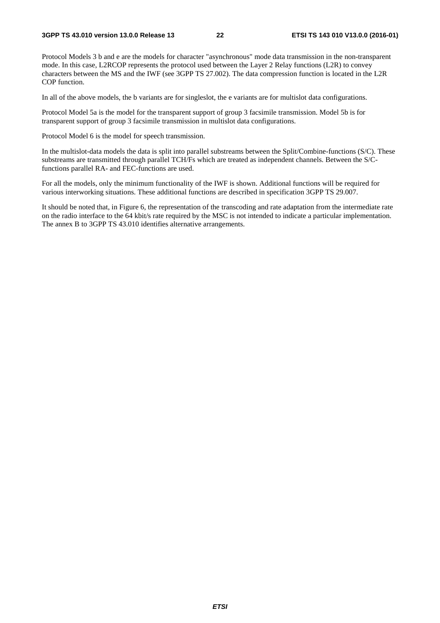Protocol Models 3 b and e are the models for character "asynchronous" mode data transmission in the non-transparent mode. In this case, L2RCOP represents the protocol used between the Layer 2 Relay functions (L2R) to convey characters between the MS and the IWF (see 3GPP TS 27.002). The data compression function is located in the L2R COP function.

In all of the above models, the b variants are for singleslot, the e variants are for multislot data configurations.

Protocol Model 5a is the model for the transparent support of group 3 facsimile transmission. Model 5b is for transparent support of group 3 facsimile transmission in multislot data configurations.

Protocol Model 6 is the model for speech transmission.

In the multislot-data models the data is split into parallel substreams between the Split/Combine-functions (S/C). These substreams are transmitted through parallel TCH/Fs which are treated as independent channels. Between the S/Cfunctions parallel RA- and FEC-functions are used.

For all the models, only the minimum functionality of the IWF is shown. Additional functions will be required for various interworking situations. These additional functions are described in specification 3GPP TS 29.007.

It should be noted that, in Figure 6, the representation of the transcoding and rate adaptation from the intermediate rate on the radio interface to the 64 kbit/s rate required by the MSC is not intended to indicate a particular implementation. The annex B to 3GPP TS 43.010 identifies alternative arrangements.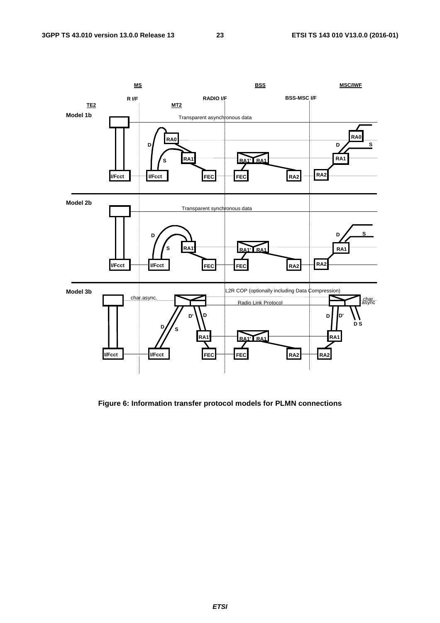

**Figure 6: Information transfer protocol models for PLMN connections** 

*ETSI*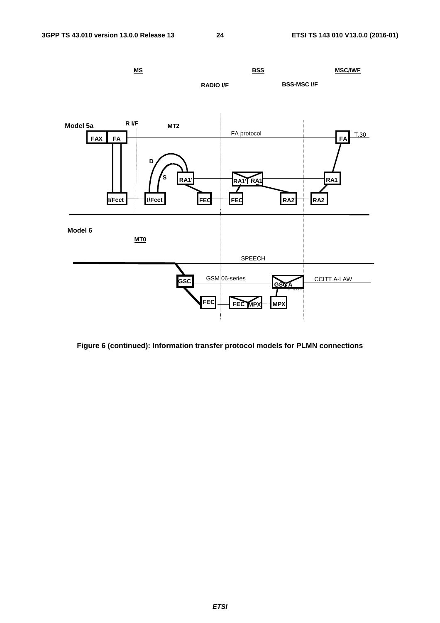

**Figure 6 (continued): Information transfer protocol models for PLMN connections**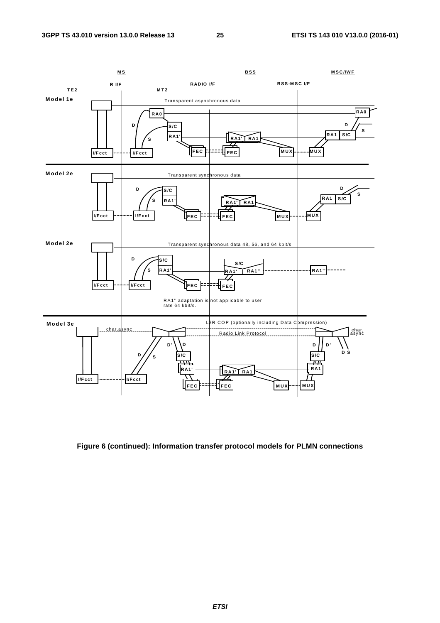

**Figure 6 (continued): Information transfer protocol models for PLMN connections**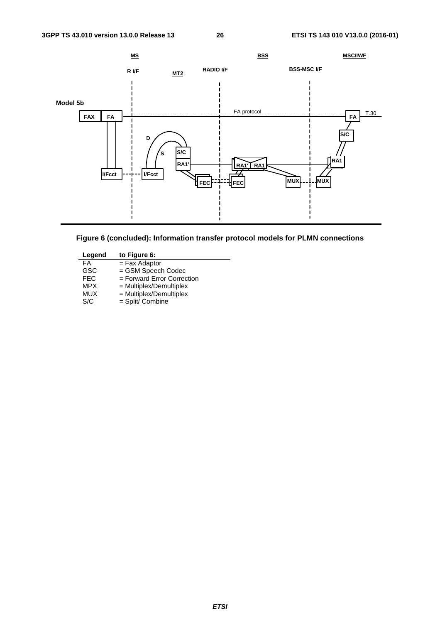



| Legend     | to Figure 6:                 |
|------------|------------------------------|
| FA         | $=$ Fax Adaptor              |
| <b>GSC</b> | = GSM Speech Codec           |
| <b>FEC</b> | $=$ Forward Error Correction |
| <b>MPX</b> | = Multiplex/Demultiplex      |
| <b>MUX</b> | = Multiplex/Demultiplex      |
| S/C        | = Split/ Combine             |
|            |                              |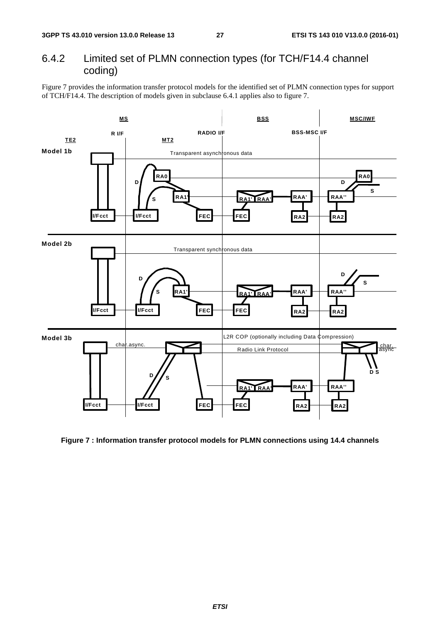### 6.4.2 Limited set of PLMN connection types (for TCH/F14.4 channel coding)

Figure 7 provides the information transfer protocol models for the identified set of PLMN connection types for support of TCH/F14.4. The description of models given in subclause 6.4.1 applies also to figure 7.



**Figure 7 : Information transfer protocol models for PLMN connections using 14.4 channels**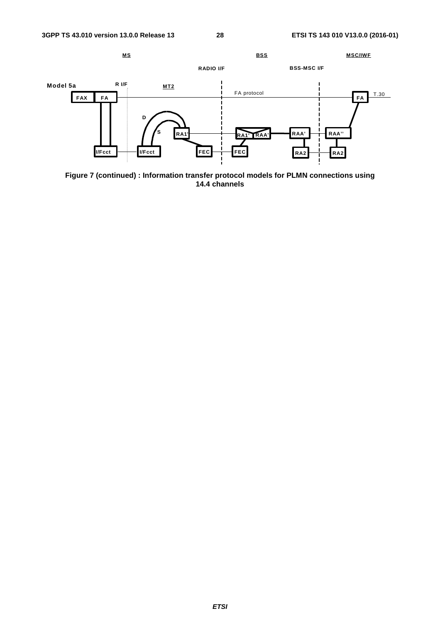

**Figure 7 (continued) : Information transfer protocol models for PLMN connections using 14.4 channels**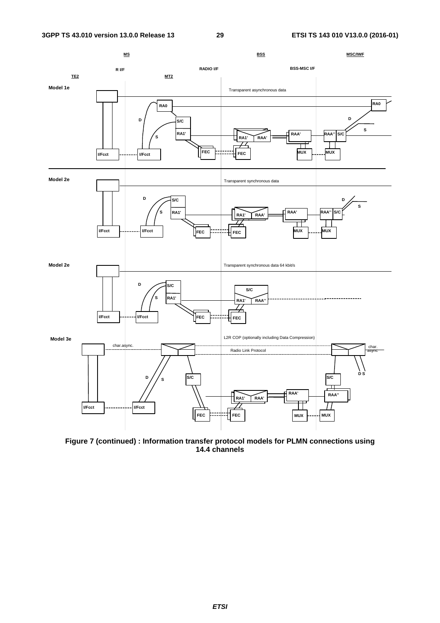

**Figure 7 (continued) : Information transfer protocol models for PLMN connections using 14.4 channels**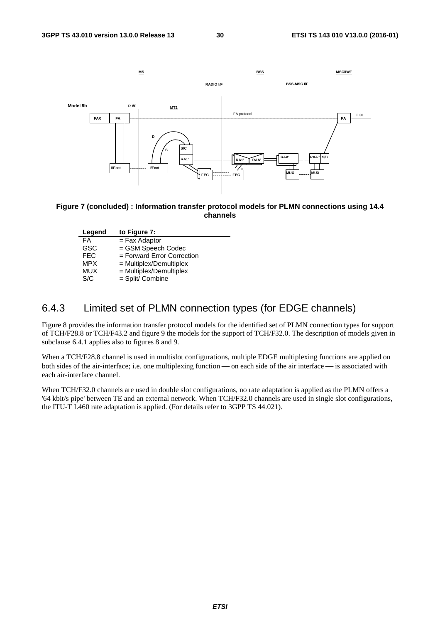

### **Figure 7 (concluded) : Information transfer protocol models for PLMN connections using 14.4 channels**

| Legend     | to Figure 7:                 |
|------------|------------------------------|
| FA         | $=$ Fax Adaptor              |
| <b>GSC</b> | = GSM Speech Codec           |
| <b>FEC</b> | $=$ Forward Error Correction |
| <b>MPX</b> | $=$ Multiplex/Demultiplex    |
| <b>MUX</b> | = Multiplex/Demultiplex      |
| S/C        | = Split/ Combine             |
|            |                              |

### 6.4.3 Limited set of PLMN connection types (for EDGE channels)

Figure 8 provides the information transfer protocol models for the identified set of PLMN connection types for support of TCH/F28.8 or TCH/F43.2 and figure 9 the models for the support of TCH/F32.0. The description of models given in subclause 6.4.1 applies also to figures 8 and 9.

When a TCH/F28.8 channel is used in multislot configurations, multiple EDGE multiplexing functions are applied on both sides of the air-interface; i.e. one multiplexing function — on each side of the air interface — is associated with each air-interface channel.

When TCH/F32.0 channels are used in double slot configurations, no rate adaptation is applied as the PLMN offers a '64 kbit/s pipe' between TE and an external network. When TCH/F32.0 channels are used in single slot configurations, the ITU-T I.460 rate adaptation is applied. (For details refer to 3GPP TS 44.021).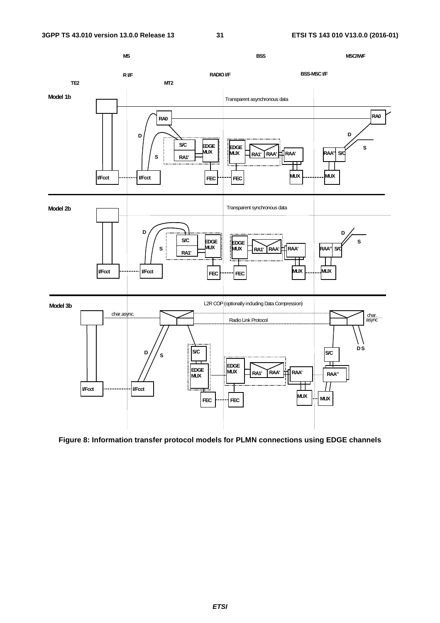

**Figure 8: Information transfer protocol models for PLMN connections using EDGE channels**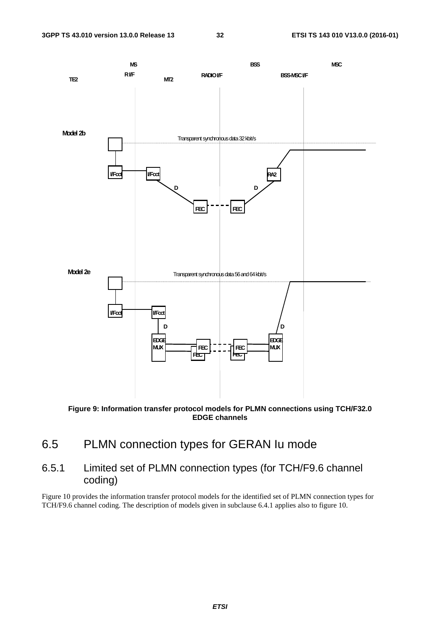

**Figure 9: Information transfer protocol models for PLMN connections using TCH/F32.0 EDGE channels** 

- 6.5 PLMN connection types for GERAN Iu mode
- 6.5.1 Limited set of PLMN connection types (for TCH/F9.6 channel coding)

Figure 10 provides the information transfer protocol models for the identified set of PLMN connection types for TCH/F9.6 channel coding. The description of models given in subclause 6.4.1 applies also to figure 10.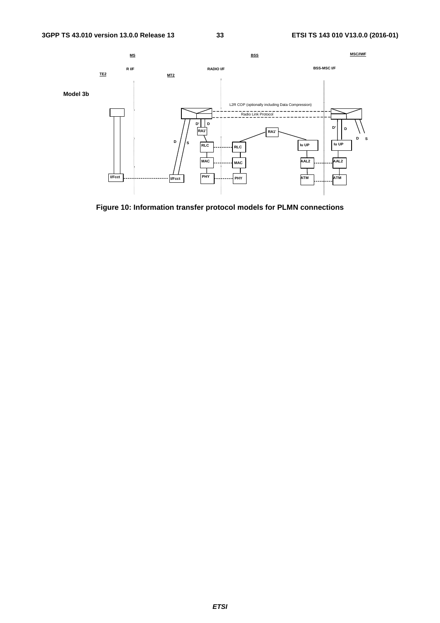

**Figure 10: Information transfer protocol models for PLMN connections**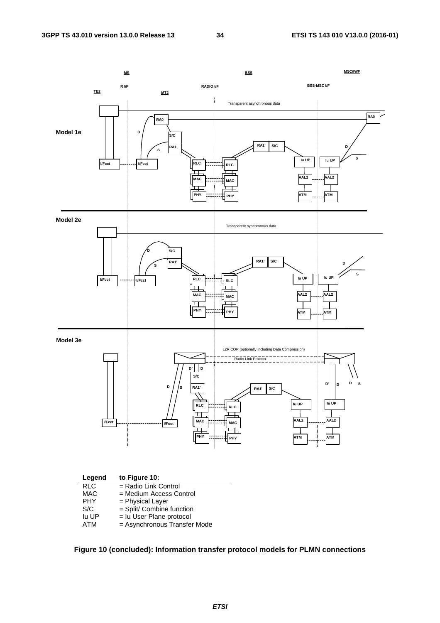

**Figure 10 (concluded): Information transfer protocol models for PLMN connections**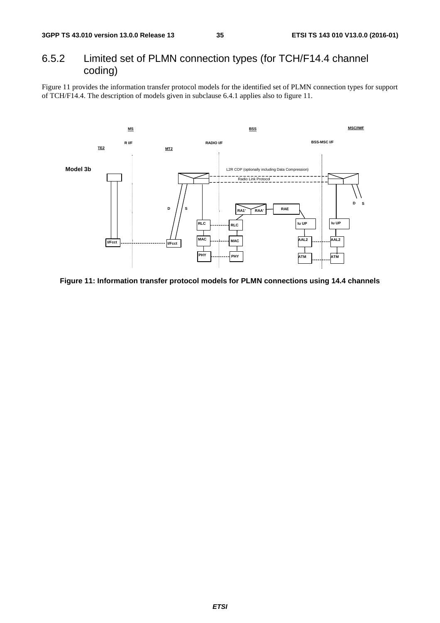### 6.5.2 Limited set of PLMN connection types (for TCH/F14.4 channel coding)

Figure 11 provides the information transfer protocol models for the identified set of PLMN connection types for support of TCH/F14.4. The description of models given in subclause 6.4.1 applies also to figure 11.



**Figure 11: Information transfer protocol models for PLMN connections using 14.4 channels**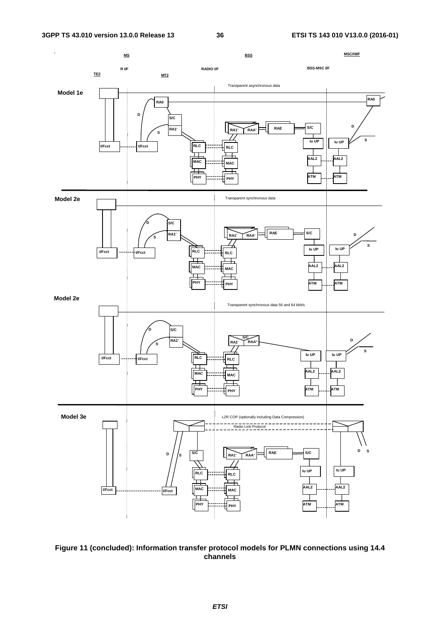

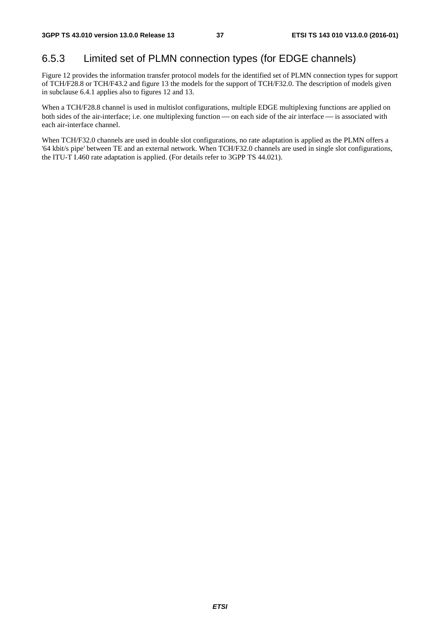### 6.5.3 Limited set of PLMN connection types (for EDGE channels)

Figure 12 provides the information transfer protocol models for the identified set of PLMN connection types for support of TCH/F28.8 or TCH/F43.2 and figure 13 the models for the support of TCH/F32.0. The description of models given in subclause 6.4.1 applies also to figures 12 and 13.

When a TCH/F28.8 channel is used in multislot configurations, multiple EDGE multiplexing functions are applied on both sides of the air-interface; i.e. one multiplexing function — on each side of the air interface — is associated with each air-interface channel.

When TCH/F32.0 channels are used in double slot configurations, no rate adaptation is applied as the PLMN offers a '64 kbit/s pipe' between TE and an external network. When TCH/F32.0 channels are used in single slot configurations, the ITU-T I.460 rate adaptation is applied. (For details refer to 3GPP TS 44.021).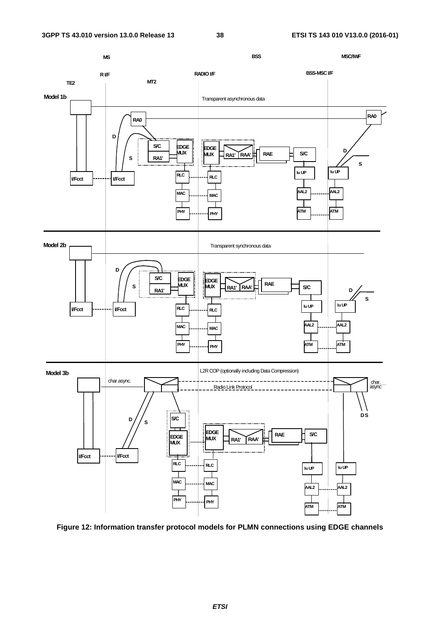

**Figure 12: Information transfer protocol models for PLMN connections using EDGE channels**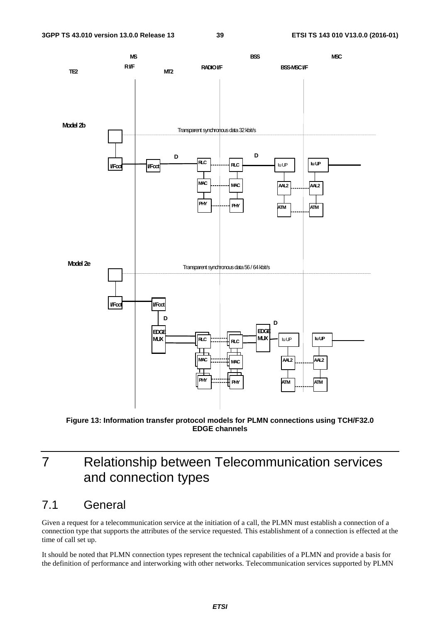

**Figure 13: Information transfer protocol models for PLMN connections using TCH/F32.0 EDGE channels** 

## 7 Relationship between Telecommunication services and connection types

## 7.1 General

Given a request for a telecommunication service at the initiation of a call, the PLMN must establish a connection of a connection type that supports the attributes of the service requested. This establishment of a connection is effected at the time of call set up.

It should be noted that PLMN connection types represent the technical capabilities of a PLMN and provide a basis for the definition of performance and interworking with other networks. Telecommunication services supported by PLMN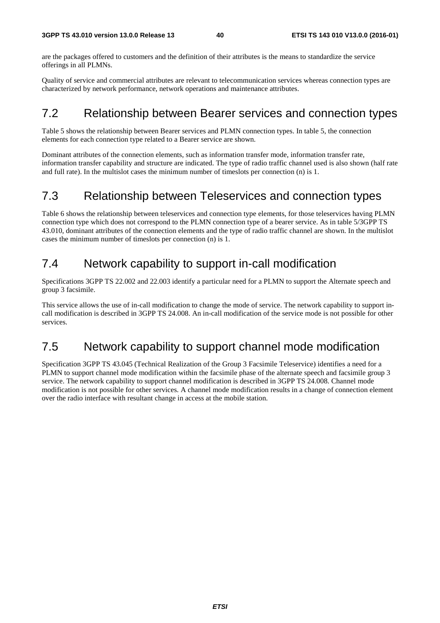are the packages offered to customers and the definition of their attributes is the means to standardize the service offerings in all PLMNs.

Quality of service and commercial attributes are relevant to telecommunication services whereas connection types are characterized by network performance, network operations and maintenance attributes.

## 7.2 Relationship between Bearer services and connection types

Table 5 shows the relationship between Bearer services and PLMN connection types. In table 5, the connection elements for each connection type related to a Bearer service are shown.

Dominant attributes of the connection elements, such as information transfer mode, information transfer rate, information transfer capability and structure are indicated. The type of radio traffic channel used is also shown (half rate and full rate). In the multislot cases the minimum number of timeslots per connection (n) is 1.

## 7.3 Relationship between Teleservices and connection types

Table 6 shows the relationship between teleservices and connection type elements, for those teleservices having PLMN connection type which does not correspond to the PLMN connection type of a bearer service. As in table 5/3GPP TS 43.010, dominant attributes of the connection elements and the type of radio traffic channel are shown. In the multislot cases the minimum number of timeslots per connection (n) is 1.

## 7.4 Network capability to support in-call modification

Specifications 3GPP TS 22.002 and 22.003 identify a particular need for a PLMN to support the Alternate speech and group 3 facsimile.

This service allows the use of in-call modification to change the mode of service. The network capability to support incall modification is described in 3GPP TS 24.008. An in-call modification of the service mode is not possible for other services.

## 7.5 Network capability to support channel mode modification

Specification 3GPP TS 43.045 (Technical Realization of the Group 3 Facsimile Teleservice) identifies a need for a PLMN to support channel mode modification within the facsimile phase of the alternate speech and facsimile group 3 service. The network capability to support channel modification is described in 3GPP TS 24.008. Channel mode modification is not possible for other services. A channel mode modification results in a change of connection element over the radio interface with resultant change in access at the mobile station.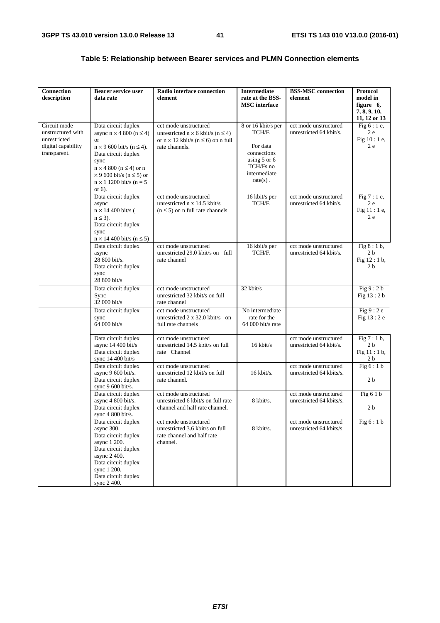| <b>Connection</b><br>description                                                        | <b>Bearer service user</b><br>data rate                                                                                                                                                                                                                                             | <b>Radio interface connection</b><br>element                                                                                                 | <b>Intermediate</b><br>rate at the BSS-<br><b>MSC</b> interface                                                     | <b>BSS-MSC</b> connection<br>element              | Protocol<br>model in<br>figure 6,<br>7, 8, 9, 10,               |
|-----------------------------------------------------------------------------------------|-------------------------------------------------------------------------------------------------------------------------------------------------------------------------------------------------------------------------------------------------------------------------------------|----------------------------------------------------------------------------------------------------------------------------------------------|---------------------------------------------------------------------------------------------------------------------|---------------------------------------------------|-----------------------------------------------------------------|
| Circuit mode<br>unstructured with<br>unrestricted<br>digital capability<br>transparent. | Data circuit duplex<br>async $n \times 4800$ ( $n \le 4$ )<br><b>or</b><br>$n \times 9$ 600 bit/s ( $n \leq 4$ ).<br>Data circuit duplex<br>sync<br>$n \times 4800$ ( $n \leq 4$ ) or n<br>$\times$ 9 600 bit/s (n $\leq$ 5) or<br>$n \times 1$ 1200 bit/s ( $n = 5$ )<br>or $6$ ). | cct mode unstructured<br>unrestricted $n \times 6$ kbit/s ( $n \le 4$ )<br>or $n \times 12$ kbit/s ( $n \le 6$ ) on n full<br>rate channels. | 8 or 16 kbit/s per<br>TCH/F.<br>For data<br>connections<br>using 5 or 6<br>TCH/Fs no<br>intermediate<br>$rate(s)$ . | cct mode unstructured<br>unrestricted 64 kbit/s.  | 11, 12 or 13<br>Fig $6:1e$ ,<br>2 e<br>Fig 10 : 1 e,<br>2e      |
|                                                                                         | Data circuit duplex<br>async<br>$n \times 14400$ bit/s (<br>$n \leq 3$ ).<br>Data circuit duplex<br>sync<br>$n \times 14$ 400 bit/s ( $n \le 5$ )                                                                                                                                   | cct mode unstructured<br>unrestricted n x 14.5 kbit/s<br>$(n \leq 5)$ on n full rate channels                                                | 16 kbit/s per<br>TCH/F.                                                                                             | cct mode unstructured<br>unrestricted 64 kbit/s.  | Fig 7 : 1 e,<br>2e<br>Fig 11 : 1 e,<br>2e                       |
|                                                                                         | Data circuit duplex<br>async<br>28 800 bit/s.<br>Data circuit duplex<br>sync<br>28 800 bit/s                                                                                                                                                                                        | cct mode unstructured<br>unrestricted 29.0 kbit/s on full<br>rate channel                                                                    | 16 kbit/s per<br>TCH/F.                                                                                             | cct mode unstructured<br>unrestricted 64 kbit/s.  | Fig $8:1$ b,<br>2 <sub>b</sub><br>Fig 12:1 b,<br>2 <sub>b</sub> |
|                                                                                         | Data circuit duplex<br>Sync<br>32 000 bit/s                                                                                                                                                                                                                                         | cct mode unstructured<br>unrestricted 32 kbit/s on full<br>rate channel                                                                      | 32 kbit/s                                                                                                           |                                                   | Fig 9:2 b<br>Fig 13:2 b                                         |
|                                                                                         | Data circuit duplex<br>sync<br>64 000 bit/s                                                                                                                                                                                                                                         | cct mode unstructured<br>unrestricted $2 \times 32.0$ kbit/s on<br>full rate channels                                                        | No intermediate<br>rate for the<br>64 000 bit/s rate                                                                |                                                   | Fig $9:2e$<br>Fig 13:2 e                                        |
|                                                                                         | Data circuit duplex<br>async 14 400 bit/s<br>Data circuit duplex<br>sync $14\,400\,\text{bit/s}$                                                                                                                                                                                    | cct mode unstructured<br>unrestricted 14.5 kbit/s on full<br>rate Channel                                                                    | 16 kbit/s                                                                                                           | cct mode unstructured<br>unrestricted 64 kbit/s.  | Fig $7:1$ b,<br>2 <sub>b</sub><br>Fig 11:1b,<br>2 <sub>b</sub>  |
|                                                                                         | Data circuit duplex<br>async 9 600 bit/s.<br>Data circuit duplex<br>sync 9 600 bit/s.                                                                                                                                                                                               | cct mode unstructured<br>unrestricted 12 kbit/s on full<br>rate channel.                                                                     | 16 kbit/s.                                                                                                          | cct mode unstructured<br>unrestricted 64 kbits/s. | Fig 6:1b<br>2 <sub>b</sub>                                      |
|                                                                                         | Data circuit duplex<br>async 4 800 bit/s.<br>Data circuit duplex<br>sync 4 800 bit/s.                                                                                                                                                                                               | cct mode unstructured<br>unrestricted 6 kbit/s on full rate<br>channel and half rate channel.                                                | 8 kbit/s.                                                                                                           | cct mode unstructured<br>unrestricted 64 kbits/s. | Fig 6 1 b<br>2 <sub>b</sub>                                     |
|                                                                                         | Data circuit duplex<br>async 300.<br>Data circuit duplex<br>async 1 200.<br>Data circuit duplex<br>async 2 400.<br>Data circuit duplex<br>sync 1 200.<br>Data circuit duplex<br>sync 2 400.                                                                                         | cct mode unstructured<br>unrestricted 3.6 kbit/s on full<br>rate channel and half rate<br>channel.                                           | 8 kbit/s.                                                                                                           | cct mode unstructured<br>unrestricted 64 kbits/s. | Fig $6:1 b$                                                     |

### **Table 5: Relationship between Bearer services and PLMN Connection elements**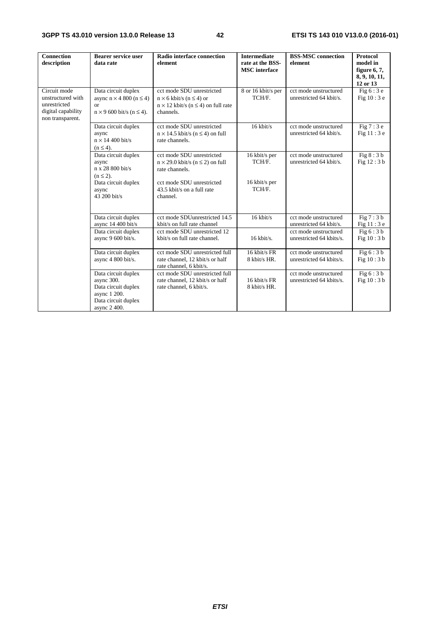| <b>Connection</b><br>description                                                            | <b>Bearer service user</b><br>data rate                                                                            | Radio interface connection<br>element                                                                                                                              | <b>Intermediate</b><br>rate at the BSS-<br><b>MSC</b> interface | <b>BSS-MSC</b> connection<br>element                                      | <b>Protocol</b><br>model in<br>figure $6, 7$ ,<br>8, 9, 10, 11,<br>12 or 13 |
|---------------------------------------------------------------------------------------------|--------------------------------------------------------------------------------------------------------------------|--------------------------------------------------------------------------------------------------------------------------------------------------------------------|-----------------------------------------------------------------|---------------------------------------------------------------------------|-----------------------------------------------------------------------------|
| Circuit mode<br>unstructured with<br>unrestricted<br>digital capability<br>non transparent. | Data circuit duplex<br>async $n \times 4800$ ( $n \le 4$ )<br>$\alpha$<br>$n \times 9$ 600 bit/s ( $n \leq 4$ ).   | cct mode SDU unrestricted<br>$n \times 6$ kbit/s ( $n \leq 4$ ) or<br>$n \times 12$ kbit/s ( $n \leq 4$ ) on full rate<br>channels.                                | 8 or 16 kbit/s per<br>TCH/F.                                    | cct mode unstructured<br>unrestricted 64 kbit/s.                          | Fig $6:3e$<br>Fig $10:3e$                                                   |
|                                                                                             | Data circuit duplex<br>async<br>$n \times 14400$ bit/s<br>$(n \leq 4)$ .                                           | cct mode SDU unrestricted<br>$n \times 14.5$ kbit/s ( $n \le 4$ ) on full<br>rate channels.                                                                        | 16 kbit/s                                                       | cct mode unstructured<br>unrestricted 64 kbit/s.                          | Fig $7:3e$<br>Fig $11:3e$                                                   |
|                                                                                             | Data circuit duplex<br>async<br>n x 28 800 bit/s<br>$(n \leq 2)$ .<br>Data circuit duplex<br>async<br>43 200 bit/s | cct mode SDU unrestricted<br>$n \times 29.0$ kbit/s ( $n \le 2$ ) on full<br>rate channels.<br>cct mode SDU unrestricted<br>43.5 kbit/s on a full rate<br>channel. | 16 kbit/s per<br>TCH/F.<br>16 kbit/s per<br>TCH/F.              | cct mode unstructured<br>unrestricted 64 kbit/s.                          | Fig $8:3b$<br>Fig 12:3 b                                                    |
|                                                                                             | Data circuit duplex<br>async 14 400 bit/s<br>Data circuit duplex                                                   | cct mode SDUunrestricted 14.5<br>kbit/s on full rate channel<br>cct mode SDU unrestricted 12                                                                       | $16$ kbit/s                                                     | cct mode unstructured<br>unrestricted 64 kbit/s.<br>cct mode unstructured | Fig $7:3b$<br>Fig 11 : 3 e<br>Fig 6:3 b                                     |
|                                                                                             | async 9 600 bit/s.<br>Data circuit duplex                                                                          | kbit/s on full rate channel.<br>cct mode SDU unrestricted full                                                                                                     | $16$ kbit/s.<br>16 kbit/s FR                                    | unrestricted 64 kbits/s.<br>cct mode unstructured                         | Fig $10:3 b$<br>Fig $6:3b$                                                  |
|                                                                                             | async 4 800 bit/s.                                                                                                 | rate channel, 12 kbit/s or half<br>rate channel, 6 kbit/s.                                                                                                         | 8 kbit/s HR.                                                    | unrestricted 64 kbits/s.                                                  | Fig 10:3 b                                                                  |
|                                                                                             | Data circuit duplex<br>async 300.<br>Data circuit duplex<br>async 1 200.<br>Data circuit duplex<br>async 2 400.    | cct mode SDU unrestricted full<br>rate channel, 12 kbit/s or half<br>rate channel, 6 kbit/s.                                                                       | 16 kbit/s FR<br>8 kbit/s HR.                                    | cct mode unstructured<br>unrestricted 64 kbits/s.                         | Fig $6:3b$<br>Fig 10:3 b                                                    |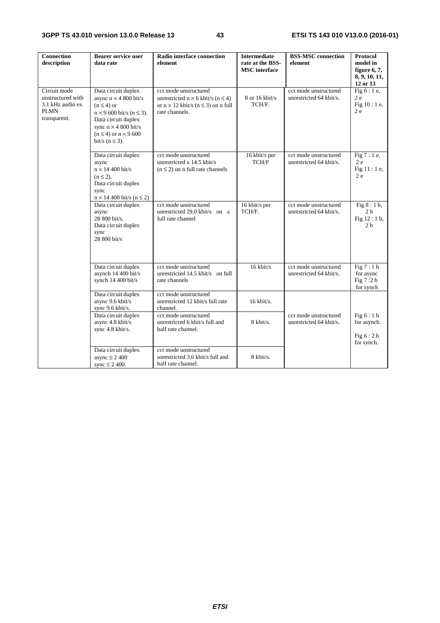| <b>Connection</b><br>description                                                     | <b>Bearer service user</b><br>data rate                                                                                                                                                                                          | Radio interface connection<br>element                                                                                                        | <b>Intermediate</b><br>rate at the BSS-<br><b>MSC</b> interface | <b>BSS-MSC</b> connection<br>element             | <b>Protocol</b><br>model in<br>figure $6, 7$ ,<br>8, 9, 10, 11,<br>12 or 13 |
|--------------------------------------------------------------------------------------|----------------------------------------------------------------------------------------------------------------------------------------------------------------------------------------------------------------------------------|----------------------------------------------------------------------------------------------------------------------------------------------|-----------------------------------------------------------------|--------------------------------------------------|-----------------------------------------------------------------------------|
| Circuit mode<br>unstructured with<br>3.1 kHz audio ex<br><b>PLMN</b><br>transparent. | Data circuit duplex<br>async $n \times 4800$ bit/s<br>$(n \leq 4)$ or<br>$n \times 9$ 600 bit/s ( $n \le 3$ ).<br>Data circuit duplex<br>sync $n \times 4800$ bit/s<br>$(n \leq 4)$ or $n \times 9$ 600<br>bit/s ( $n \leq 3$ ). | cct mode unstructured<br>unrestricted $n \times 6$ kbit/s ( $n \le 4$ )<br>or $n \times 12$ kbit/s ( $n \le 3$ ) on n full<br>rate channels. | 8 or 16 kbit/s<br>TCH/F.                                        | cct mode unstructured<br>unrestricted 64 kbit/s. | Fig $6:1e$ ,<br>2e<br>Fig $10:1e$ ,<br>2e                                   |
|                                                                                      | Data circuit duplex<br>async<br>$n \times 14400$ bit/s<br>$(n \leq 2)$ .<br>Data circuit duplex<br>sync<br>$n \times 14$ 400 bit/s ( $n \le 2$ )                                                                                 | cct mode unstructured<br>unrestricted x 14.5 kbit/s<br>$(n \leq 2)$ on n full rate channels                                                  | 16 kbit/s per<br>TCH/F                                          | cct mode unstructured<br>unrestricted 64 kbit/s. | Fig $7:1e$ ,<br>2e<br>Fig 11 : 1 e,<br>2e                                   |
|                                                                                      | Data circuit duplex<br>async<br>28 800 bit/s.<br>Data circuit duplex<br>sync<br>28 800 bit/s                                                                                                                                     | cct mode unstructured<br>unrestricted 29.0 kbit/s on a<br>full rate channel                                                                  | 16 kbit/s per<br>TCH/F.                                         | cct mode unstructured<br>unrestricted 64 kbit/s. | Fig $8:1$ b,<br>2 <sub>b</sub><br>Fig $12:1 b$ ,<br>2 <sub>h</sub>          |
|                                                                                      | Data circuit duplex<br>asynch 14 400 bit/s<br>synch $14\,400$ bit/s                                                                                                                                                              | cct mode unstructured<br>unrestricted 14.5 kbit/s on full<br>rate channels                                                                   | $16$ kbit/s                                                     | cct mode unstructured<br>unrestricted 64 kbit/s. | Fig 7:1 b<br>for async<br>Fig 7:2 b<br>for synch                            |
|                                                                                      | Data circuit duplex<br>async 9.6 kbit/s<br>sync 9.6 kbit/s.                                                                                                                                                                      | cct mode unstructured<br>unrestricted 12 kbit/s full rate<br>channel.                                                                        | 16 kbit/s.                                                      |                                                  |                                                                             |
|                                                                                      | Data circuit duplex<br>async 4.8 kbit/s<br>sync 4.8 kbit/s.                                                                                                                                                                      | cct mode unstructured<br>unrestricted 6 kbit/s full and<br>half rate channel.                                                                | $8 \text{ kbit/s.}$                                             | cct mode unstructured<br>unrestricted 64 kbit/s. | Fig $6:1 b$<br>for asynch.<br>Fig $6:2 b$<br>for synch.                     |
|                                                                                      | Data circuit duplex<br>async $\leq$ 2 400<br>sync $\leq$ 2 400.                                                                                                                                                                  | cct mode unstructured<br>unrestricted 3.6 kbit/s full and<br>half rate channel.                                                              | 8 kbit/s.                                                       |                                                  |                                                                             |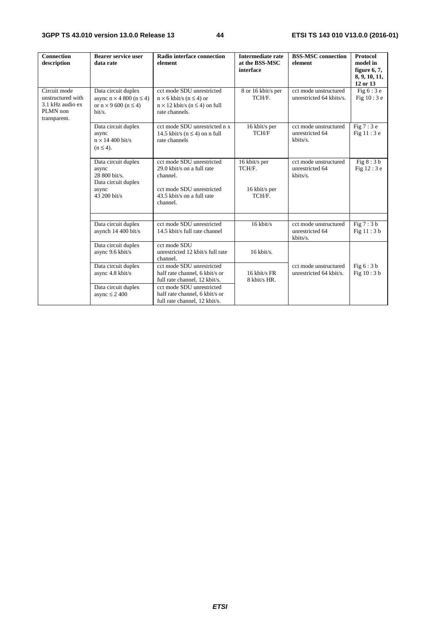| <b>Connection</b><br>description                                                  | <b>Bearer service user</b><br>data rate                                                                   | Radio interface connection<br>element                                                                                                      | <b>Intermediate rate</b><br>at the BSS-MSC<br>interface | <b>BSS-MSC</b> connection<br>element                 | <b>Protocol</b><br>model in<br>figure $6, 7$ ,<br>8, 9, 10, 11,<br>12 or 13 |
|-----------------------------------------------------------------------------------|-----------------------------------------------------------------------------------------------------------|--------------------------------------------------------------------------------------------------------------------------------------------|---------------------------------------------------------|------------------------------------------------------|-----------------------------------------------------------------------------|
| Circuit mode<br>unstructured with<br>3.1 kHz audio ex<br>PLMN non<br>transparent. | Data circuit duplex<br>async $n \times 4800$ ( $n \le 4$ )<br>or $n \times 9$ 600 ( $n \le 4$ )<br>bit/s. | cct mode SDU unrestricted<br>$n \times 6$ kbit/s ( $n \leq 4$ ) or<br>$n \times 12$ kbit/s ( $n \leq 4$ ) on full<br>rate channels.        | 8 or 16 kbit/s per<br>TCH/F.                            | cct mode unstructured<br>unrestricted 64 kbits/s.    | Fig $6:3e$<br>Fig $10:3e$                                                   |
|                                                                                   | Data circuit duplex<br>async<br>$n \times 14400$ bit/s<br>$(n \leq 4)$ .                                  | cct mode SDU unrestricted n x<br>14.5 kbit/s ( $n \leq 4$ ) on n full<br>rate channels                                                     | 16 kbit/s per<br>TCH/F                                  | cct mode unstructured<br>unrestricted 64<br>kbits/s. | Fig $7:3e$<br>Fig $11:3e$                                                   |
|                                                                                   | Data circuit duplex<br>async<br>28 800 bit/s.<br>Data circuit duplex<br>async<br>43 200 bit/s             | cct mode SDU unrestricted<br>29.0 kbit/s on a full rate<br>channel.<br>cct mode SDU unrestricted<br>43.5 kbit/s on a full rate<br>channel. | 16 kbit/s per<br>TCH/F.<br>16 kbit/s per<br>TCH/F.      | cct mode unstructured<br>unrestricted 64<br>kbits/s. | Fig $8:3b$<br>Fig 12:3 e                                                    |
|                                                                                   | Data circuit duplex<br>asynch 14 400 bit/s                                                                | cct mode SDU unrestricted<br>14.5 kbit/s full rate channel                                                                                 | $16$ kbit/s                                             | cct mode unstructured<br>unrestricted 64<br>kbits/s. | Fig $7:3b$<br>Fig $11:3b$                                                   |
|                                                                                   | Data circuit duplex<br>async 9.6 kbit/s                                                                   | cct mode SDU<br>unrestricted 12 kbit/s full rate<br>channel.                                                                               | $16$ kbit/s.                                            |                                                      |                                                                             |
|                                                                                   | Data circuit duplex<br>async 4.8 kbit/s                                                                   | cct mode SDU unrestricted<br>half rate channel, 6 kbit/s or<br>full rate channel, 12 kbit/s.                                               | 16 kbit/s FR<br>8 kbit/s HR.                            | cct mode unstructured<br>unrestricted 64 kbit/s.     | Fig $6:3b$<br>Fig 10:3 b                                                    |
|                                                                                   | Data circuit duplex<br>async $\leq$ 2 400                                                                 | cct mode SDU unrestricted<br>half rate channel, 6 kbit/s or<br>full rate channel, 12 kbit/s.                                               |                                                         |                                                      |                                                                             |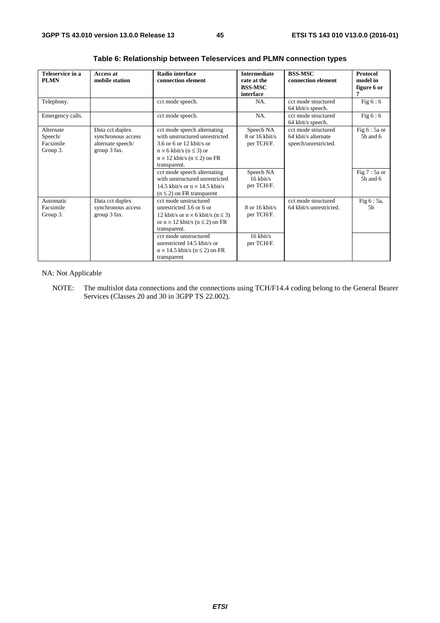| Teleservice in a<br><b>Access at</b>          |                                                                            | Radio interface                                                                                                                                                                                                                                                                                                           | <b>Intermediate</b>                                                                   | <b>BSS-MSC</b>                                                     | Protocol                                                       |  |
|-----------------------------------------------|----------------------------------------------------------------------------|---------------------------------------------------------------------------------------------------------------------------------------------------------------------------------------------------------------------------------------------------------------------------------------------------------------------------|---------------------------------------------------------------------------------------|--------------------------------------------------------------------|----------------------------------------------------------------|--|
| <b>PLMN</b>                                   | mobile station                                                             | connection element                                                                                                                                                                                                                                                                                                        | rate at the<br><b>BSS-MSC</b>                                                         | connection element                                                 | model in<br>figure 6 or                                        |  |
|                                               |                                                                            |                                                                                                                                                                                                                                                                                                                           | interface                                                                             |                                                                    | 7                                                              |  |
| Telephony.                                    |                                                                            | cct mode speech.                                                                                                                                                                                                                                                                                                          | NA.                                                                                   | cct mode structured<br>64 kbit/s speech.                           | Fig $6:6$                                                      |  |
| Emergency calls.                              |                                                                            | cct mode speech.                                                                                                                                                                                                                                                                                                          | NA.                                                                                   | cct mode structured<br>64 kbit/s speech.                           | Fig $6:6$                                                      |  |
| Alternate<br>Speech/<br>Facsimile<br>Group 3. | Data cct duplex<br>synchronous access<br>alternate speech/<br>group 3 fax. | cct mode speech alternating<br>with unstructured unrestricted<br>3.6 or 6 or 12 kbit/s or<br>$n \times 6$ kbit/s ( $n \leq 3$ ) or<br>$n \times 12$ kbit/s ( $n \le 2$ ) on FR<br>transparent.<br>cct mode speech alternating<br>with unstructured unrestricted<br>14.5 kbit/s or $n \times 14.5$ kbit/s                  | Speech NA<br>$8$ or 16 kbit/s<br>per TCH/F.<br>Speech NA<br>$16$ kbit/s<br>per TCH/F. | cct mode structured<br>64 kbit/s alternate<br>speech/unrestricted. | Fig 6 : 5a or<br>$5b$ and $6$<br>Fig $7:5a$ or<br>$5b$ and $6$ |  |
| Automatic<br>Facsimile<br>Group 3.            | Data cct duplex<br>synchronous access<br>group 3 fax.                      | $(n \leq 2)$ on FR transparent<br>cct mode unstructured<br>unrestricted 3.6 or 6 or<br>12 kbit/s or $n \times 6$ kbit/s ( $n \le 3$ )<br>or $n \times 12$ kbit/s ( $n \le 2$ ) on FR<br>transparent.<br>cct mode unstructured<br>unrestricted 14.5 kbit/s or<br>$n \times 14.5$ kbit/s ( $n \le 2$ ) on FR<br>transparent | 8 or 16 kbit/s<br>per TCH/F.<br>$16$ kbit/s<br>per TCH/F.                             | cct mode structured<br>64 kbit/s unrestricted.                     | Fig 6 : 5a,<br>5 <sub>b</sub>                                  |  |

**Table 6: Relationship between Teleservices and PLMN connection types** 

NA: Not Applicable

NOTE: The multislot data connections and the connections using TCH/F14.4 coding belong to the General Bearer Services (Classes 20 and 30 in 3GPP TS 22.002).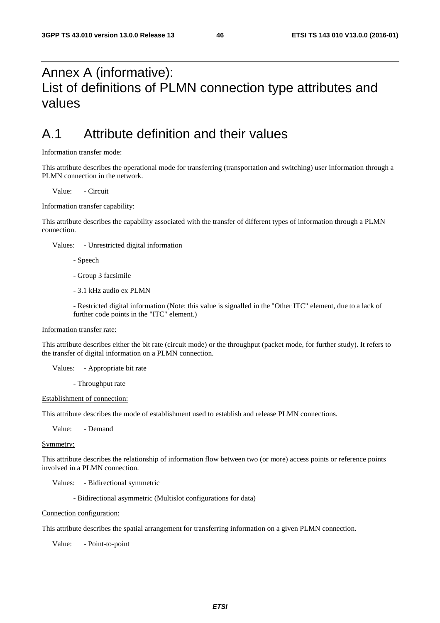## Annex A (informative): List of definitions of PLMN connection type attributes and values

## A.1 Attribute definition and their values

### Information transfer mode:

This attribute describes the operational mode for transferring (transportation and switching) user information through a PLMN connection in the network.

Value: - Circuit

### Information transfer capability:

This attribute describes the capability associated with the transfer of different types of information through a PLMN connection.

Values: - Unrestricted digital information

- Speech

- Group 3 facsimile
- 3.1 kHz audio ex PLMN

 - Restricted digital information (Note: this value is signalled in the "Other ITC" element, due to a lack of further code points in the "ITC" element.)

#### Information transfer rate:

This attribute describes either the bit rate (circuit mode) or the throughput (packet mode, for further study). It refers to the transfer of digital information on a PLMN connection.

Values: - Appropriate bit rate

- Throughput rate

#### Establishment of connection:

This attribute describes the mode of establishment used to establish and release PLMN connections.

Value: - Demand

### Symmetry:

This attribute describes the relationship of information flow between two (or more) access points or reference points involved in a PLMN connection.

Values: - Bidirectional symmetric

- Bidirectional asymmetric (Multislot configurations for data)

#### Connection configuration:

This attribute describes the spatial arrangement for transferring information on a given PLMN connection.

Value: - Point-to-point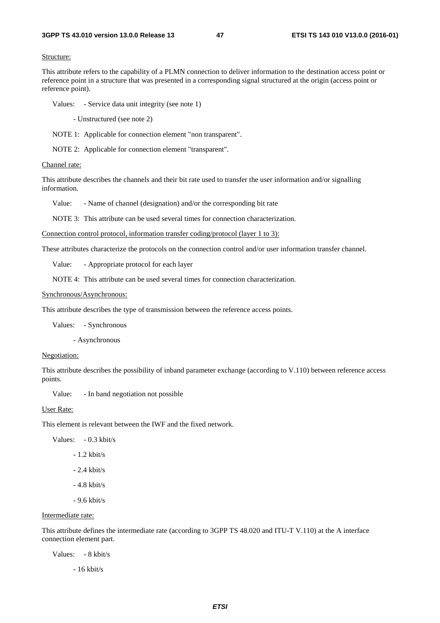#### Structure:

This attribute refers to the capability of a PLMN connection to deliver information to the destination access point or reference point in a structure that was presented in a corresponding signal structured at the origin (access point or reference point).

Values: - Service data unit integrity (see note 1)

- Unstructured (see note 2)

NOTE 1: Applicable for connection element "non transparent".

NOTE 2: Applicable for connection element "transparent".

#### Channel rate:

This attribute describes the channels and their bit rate used to transfer the user information and/or signalling information.

Value: - Name of channel (designation) and/or the corresponding bit rate

NOTE 3: This attribute can be used several times for connection characterization.

Connection control protocol, information transfer coding/protocol (layer 1 to 3):

These attributes characterize the protocols on the connection control and/or user information transfer channel.

Value: - Appropriate protocol for each layer

NOTE 4: This attribute can be used several times for connection characterization.

#### Synchronous/Asynchronous:

This attribute describes the type of transmission between the reference access points.

Values: - Synchronous

- Asynchronous

#### Negotiation:

This attribute describes the possibility of inband parameter exchange (according to V.110) between reference access points.

Value: - In band negotiation not possible

#### User Rate:

This element is relevant between the IWF and the fixed network.

Values: - 0.3 kbit/s

- 1.2 kbit/s

- 2.4 kbit/s

- 4.8 kbit/s
- 9.6 kbit/s

### Intermediate rate:

This attribute defines the intermediate rate (according to 3GPP TS 48.020 and ITU-T V.110) at the A interface connection element part.

Values: - 8 kbit/s

- 16 kbit/s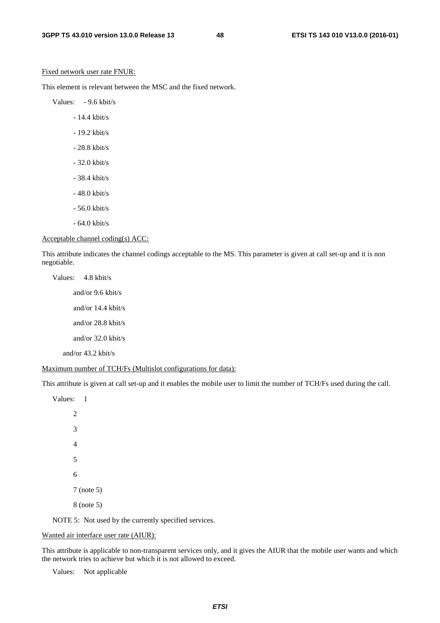#### Fixed network user rate FNUR:

This element is relevant between the MSC and the fixed network.

Values: - 9.6 kbit/s

- 14.4 kbit/s
- 19.2 kbit/s
- 28.8 kbit/s
- 32.0 kbit/s
- 38.4 kbit/s
- 48.0 kbit/s
- 56.0 kbit/s
- 64.0 kbit/s

#### Acceptable channel coding(s) ACC:

This attribute indicates the channel codings acceptable to the MS. This parameter is given at call set-up and it is non negotiable.

Values: 4.8 kbit/s and/or 9.6 kbit/s and/or 14.4 kbit/s and/or 28.8 kbit/s and/or 32.0 kbit/s and/or 43.2 kbit/s

#### Maximum number of TCH/Fs (Multislot configurations for data):

This attribute is given at call set-up and it enables the mobile user to limit the number of TCH/Fs used during the call.

NOTE 5: Not used by the currently specified services.

### Wanted air interface user rate (AIUR):

This attribute is applicable to non-transparent services only, and it gives the AIUR that the mobile user wants and which the network tries to achieve but which it is not allowed to exceed.

Values: Not applicable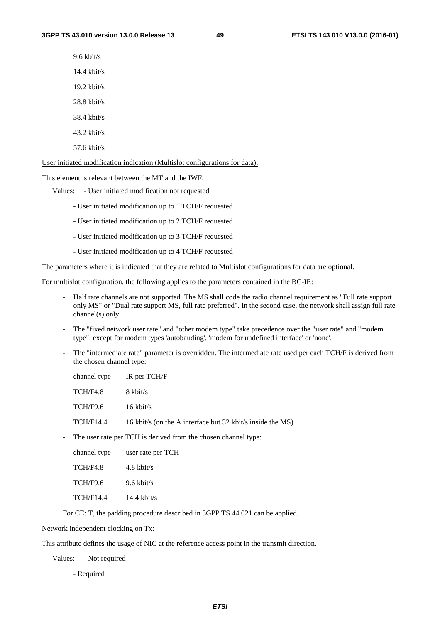9.6 kbit/s

14.4 kbit/s

19.2 kbit/s

28.8 kbit/s

38.4 kbit/s

43.2 kbit/s

57.6 kbit/s

User initiated modification indication (Multislot configurations for data):

This element is relevant between the MT and the IWF.

Values: - User initiated modification not requested

- User initiated modification up to 1 TCH/F requested

- User initiated modification up to 2 TCH/F requested
- User initiated modification up to 3 TCH/F requested
- User initiated modification up to 4 TCH/F requested

The parameters where it is indicated that they are related to Multislot configurations for data are optional.

For multislot configuration, the following applies to the parameters contained in the BC-IE:

- Half rate channels are not supported. The MS shall code the radio channel requirement as "Full rate support only MS" or "Dual rate support MS, full rate preferred". In the second case, the network shall assign full rate channel(s) only.
- The "fixed network user rate" and "other modem type" take precedence over the "user rate" and "modem type", except for modem types 'autobauding', 'modem for undefined interface' or 'none'.
- The "intermediate rate" parameter is overridden. The intermediate rate used per each TCH/F is derived from the chosen channel type:

| channel type | IR per TCH/F                                               |
|--------------|------------------------------------------------------------|
| TCH/F4.8     | 8 kbit/s                                                   |
| TCH/F9.6     | $16 \text{ kbit/s}$                                        |
| TCH/F14.4    | 16 kbit/s (on the A interface but 32 kbit/s inside the MS) |
|              |                                                            |

- The user rate per TCH is derived from the chosen channel type:

| channel type     | user rate per TCH     |
|------------------|-----------------------|
| TCH/F4.8         | $4.8 \text{ kbit/s}$  |
| <b>TCH/F9.6</b>  | $9.6 \text{ kbit/s}$  |
| <b>TCH/F14.4</b> | $14.4 \text{ kbit/s}$ |

For CE: T, the padding procedure described in 3GPP TS 44.021 can be applied.

Network independent clocking on Tx:

This attribute defines the usage of NIC at the reference access point in the transmit direction.

Values: - Not required

- Required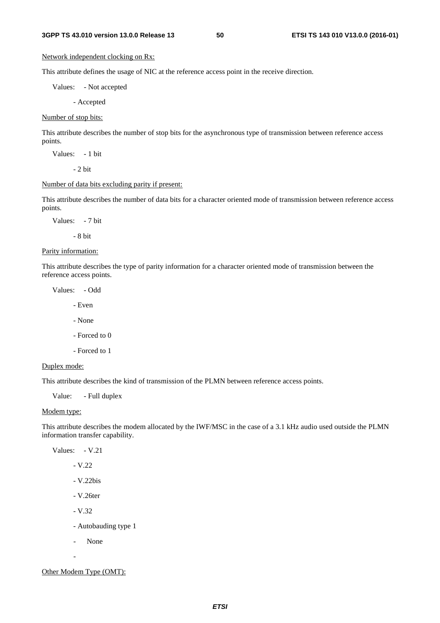### Network independent clocking on Rx:

This attribute defines the usage of NIC at the reference access point in the receive direction.

Values: - Not accepted

- Accepted

Number of stop bits:

This attribute describes the number of stop bits for the asynchronous type of transmission between reference access points.

Values: - 1 bit

 $-2$  bit

### Number of data bits excluding parity if present:

This attribute describes the number of data bits for a character oriented mode of transmission between reference access points.

Values: - 7 bit

- 8 bit

Parity information:

This attribute describes the type of parity information for a character oriented mode of transmission between the reference access points.

Values: - Odd

- Even

- None
- Forced to 0
- Forced to 1

### Duplex mode:

This attribute describes the kind of transmission of the PLMN between reference access points.

Value: - Full duplex

#### Modem type:

This attribute describes the modem allocated by the IWF/MSC in the case of a 3.1 kHz audio used outside the PLMN information transfer capability.

Values: - V.21

- V.22

- V.22bis

- V.26ter

- V.32

- Autobauding type 1

- None

-

Other Modem Type (OMT):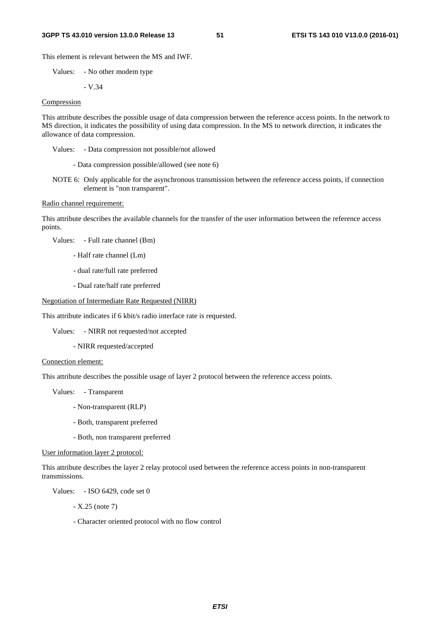#### **3GPP TS 43.010 version 13.0.0 Release 13 51 ETSI TS 143 010 V13.0.0 (2016-01)**

This element is relevant between the MS and IWF.

Values: - No other modem type

$$
-V.34
$$

### Compression

This attribute describes the possible usage of data compression between the reference access points. In the network to MS direction, it indicates the possibility of using data compression. In the MS to network direction, it indicates the allowance of data compression.

Values: - Data compression not possible/not allowed

- Data compression possible/allowed (see note 6)

NOTE 6: Only applicable for the asynchronous transmission between the reference access points, if connection element is "non transparent".

#### Radio channel requirement:

This attribute describes the available channels for the transfer of the user information between the reference access points.

Values: - Full rate channel (Bm)

- Half rate channel (Lm)
- dual rate/full rate preferred
- Dual rate/half rate preferred

#### Negotiation of Intermediate Rate Requested (NIRR)

This attribute indicates if 6 kbit/s radio interface rate is requested.

Values: - NIRR not requested/not accepted

- NIRR requested/accepted

#### Connection element:

This attribute describes the possible usage of layer 2 protocol between the reference access points.

Values: - Transparent

- Non-transparent (RLP)
- Both, transparent preferred
- Both, non transparent preferred

User information layer 2 protocol:

This attribute describes the layer 2 relay protocol used between the reference access points in non-transparent transmissions.

Values: - ISO 6429, code set 0

- X.25 (note 7)

- Character oriented protocol with no flow control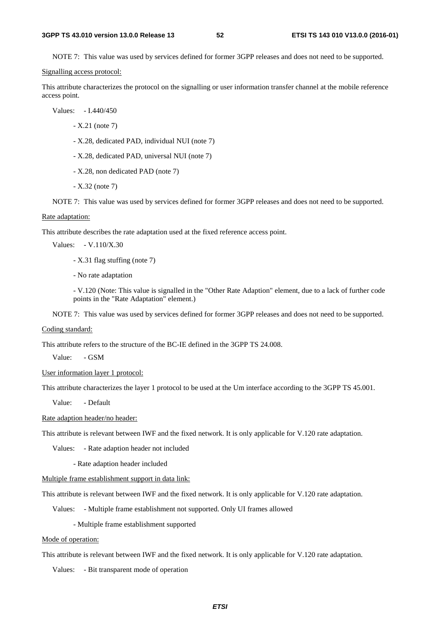NOTE 7: This value was used by services defined for former 3GPP releases and does not need to be supported.

Signalling access protocol:

This attribute characterizes the protocol on the signalling or user information transfer channel at the mobile reference access point.

Values: - I.440/450

- X.21 (note 7)
- X.28, dedicated PAD, individual NUI (note 7)
- X.28, dedicated PAD, universal NUI (note 7)
- X.28, non dedicated PAD (note 7)
- X.32 (note 7)

NOTE 7: This value was used by services defined for former 3GPP releases and does not need to be supported.

#### Rate adaptation:

This attribute describes the rate adaptation used at the fixed reference access point.

Values: - V.110/X.30

- X.31 flag stuffing (note 7)

- No rate adaptation

 - V.120 (Note: This value is signalled in the "Other Rate Adaption" element, due to a lack of further code points in the "Rate Adaptation" element.)

NOTE 7: This value was used by services defined for former 3GPP releases and does not need to be supported.

#### Coding standard:

This attribute refers to the structure of the BC-IE defined in the 3GPP TS 24.008.

Value: - GSM

#### User information layer 1 protocol:

This attribute characterizes the layer 1 protocol to be used at the Um interface according to the 3GPP TS 45.001.

Value: - Default

Rate adaption header/no header:

This attribute is relevant between IWF and the fixed network. It is only applicable for V.120 rate adaptation.

Values: - Rate adaption header not included

- Rate adaption header included

Multiple frame establishment support in data link:

This attribute is relevant between IWF and the fixed network. It is only applicable for V.120 rate adaptation.

Values: - Multiple frame establishment not supported. Only UI frames allowed

- Multiple frame establishment supported

#### Mode of operation:

This attribute is relevant between IWF and the fixed network. It is only applicable for V.120 rate adaptation.

Values: - Bit transparent mode of operation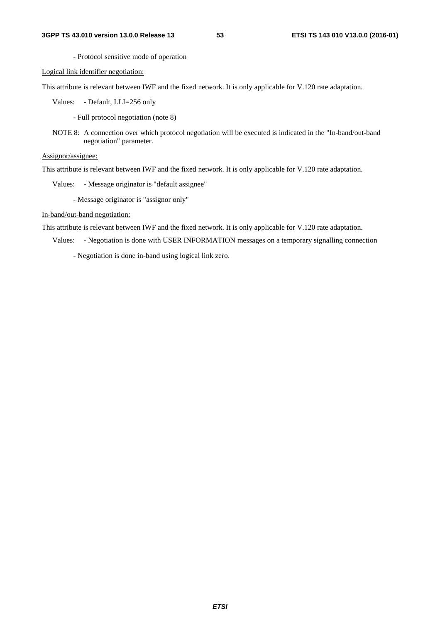- Protocol sensitive mode of operation

Logical link identifier negotiation:

This attribute is relevant between IWF and the fixed network. It is only applicable for V.120 rate adaptation.

Values: - Default, LLI=256 only

- Full protocol negotiation (note 8)

NOTE 8: A connection over which protocol negotiation will be executed is indicated in the "In-band/out-band negotiation" parameter.

Assignor/assignee:

This attribute is relevant between IWF and the fixed network. It is only applicable for V.120 rate adaptation.

Values: - Message originator is "default assignee"

- Message originator is "assignor only"

In-band/out-band negotiation:

This attribute is relevant between IWF and the fixed network. It is only applicable for V.120 rate adaptation.

Values: - Negotiation is done with USER INFORMATION messages on a temporary signalling connection

- Negotiation is done in-band using logical link zero.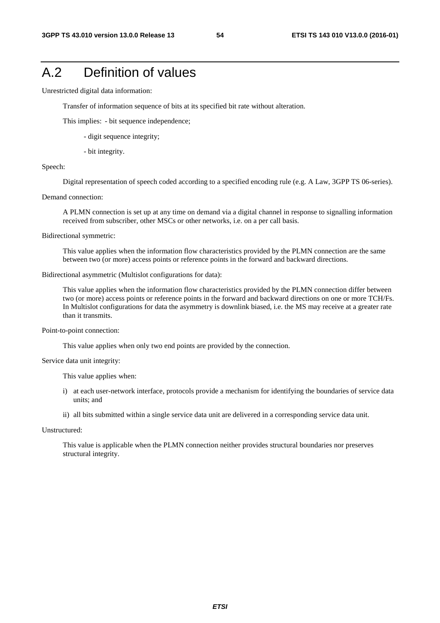## A.2 Definition of values

Unrestricted digital data information:

Transfer of information sequence of bits at its specified bit rate without alteration.

This implies: - bit sequence independence;

- digit sequence integrity;
- bit integrity.

#### Speech:

Digital representation of speech coded according to a specified encoding rule (e.g. A Law, 3GPP TS 06-series).

#### Demand connection:

 A PLMN connection is set up at any time on demand via a digital channel in response to signalling information received from subscriber, other MSCs or other networks, i.e. on a per call basis.

Bidirectional symmetric:

 This value applies when the information flow characteristics provided by the PLMN connection are the same between two (or more) access points or reference points in the forward and backward directions.

Bidirectional asymmetric (Multislot configurations for data):

 This value applies when the information flow characteristics provided by the PLMN connection differ between two (or more) access points or reference points in the forward and backward directions on one or more TCH/Fs. In Multislot configurations for data the asymmetry is downlink biased, i.e. the MS may receive at a greater rate than it transmits.

Point-to-point connection:

This value applies when only two end points are provided by the connection.

Service data unit integrity:

This value applies when:

- i) at each user-network interface, protocols provide a mechanism for identifying the boundaries of service data units; and
- ii) all bits submitted within a single service data unit are delivered in a corresponding service data unit.

Unstructured:

 This value is applicable when the PLMN connection neither provides structural boundaries nor preserves structural integrity.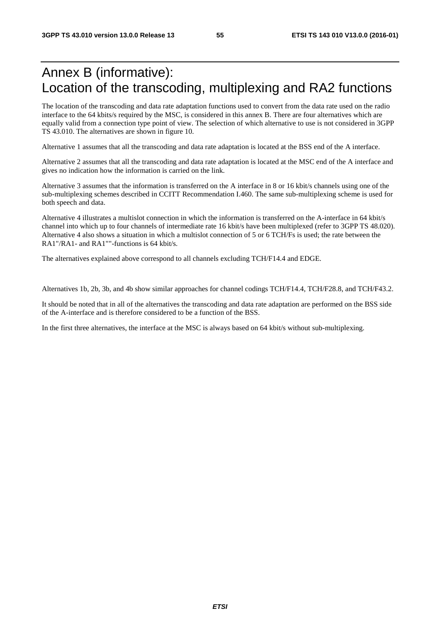## Annex B (informative): Location of the transcoding, multiplexing and RA2 functions

The location of the transcoding and data rate adaptation functions used to convert from the data rate used on the radio interface to the 64 kbits/s required by the MSC, is considered in this annex B. There are four alternatives which are equally valid from a connection type point of view. The selection of which alternative to use is not considered in 3GPP TS 43.010. The alternatives are shown in figure 10.

Alternative 1 assumes that all the transcoding and data rate adaptation is located at the BSS end of the A interface.

Alternative 2 assumes that all the transcoding and data rate adaptation is located at the MSC end of the A interface and gives no indication how the information is carried on the link.

Alternative 3 assumes that the information is transferred on the A interface in 8 or 16 kbit/s channels using one of the sub-multiplexing schemes described in CCITT Recommendation I.460. The same sub-multiplexing scheme is used for both speech and data.

Alternative 4 illustrates a multislot connection in which the information is transferred on the A-interface in 64 kbit/s channel into which up to four channels of intermediate rate 16 kbit/s have been multiplexed (refer to 3GPP TS 48.020). Alternative 4 also shows a situation in which a multislot connection of 5 or 6 TCH/Fs is used; the rate between the RA1"/RA1- and RA1""-functions is 64 kbit/s.

The alternatives explained above correspond to all channels excluding TCH/F14.4 and EDGE.

Alternatives 1b, 2b, 3b, and 4b show similar approaches for channel codings TCH/F14.4, TCH/F28.8, and TCH/F43.2.

It should be noted that in all of the alternatives the transcoding and data rate adaptation are performed on the BSS side of the A-interface and is therefore considered to be a function of the BSS.

In the first three alternatives, the interface at the MSC is always based on 64 kbit/s without sub-multiplexing.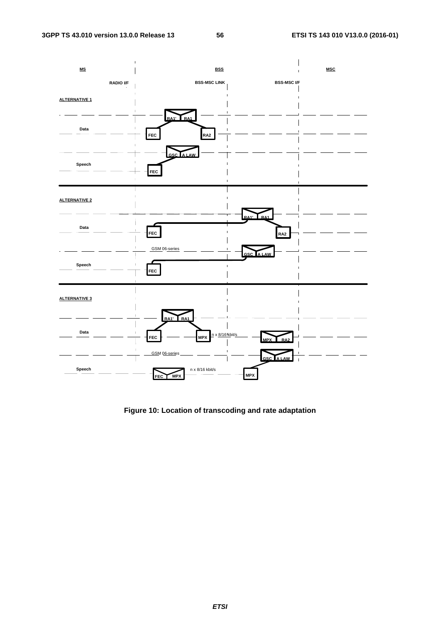

**Figure 10: Location of transcoding and rate adaptation**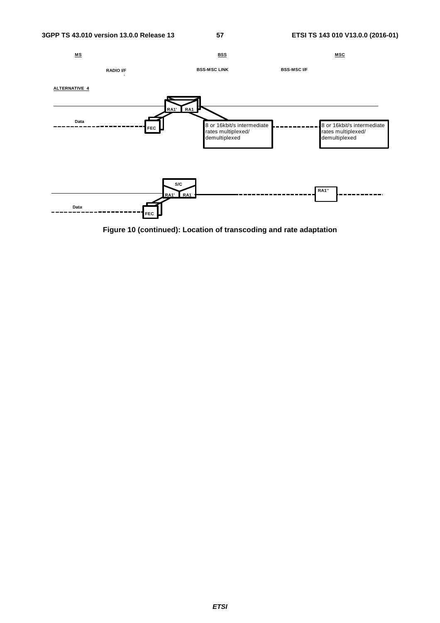

**Figure 10 (continued): Location of transcoding and rate adaptation**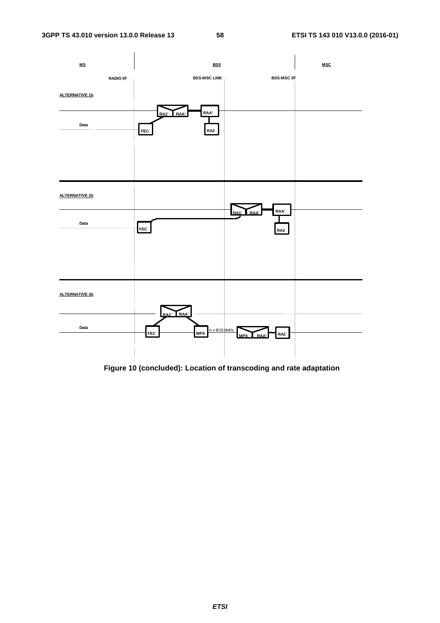

 **Figure 10 (concluded): Location of transcoding and rate adaptation**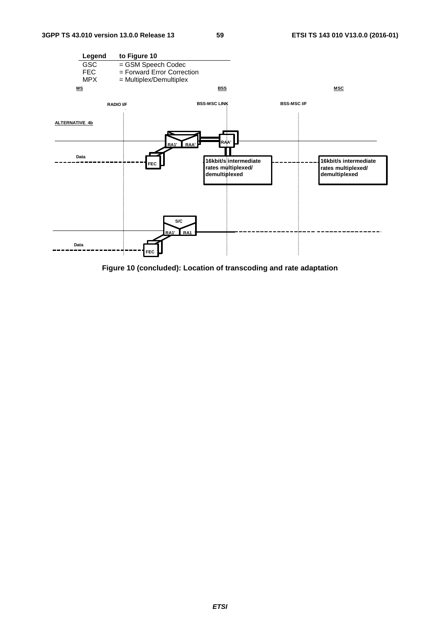

**Figure 10 (concluded): Location of transcoding and rate adaptation**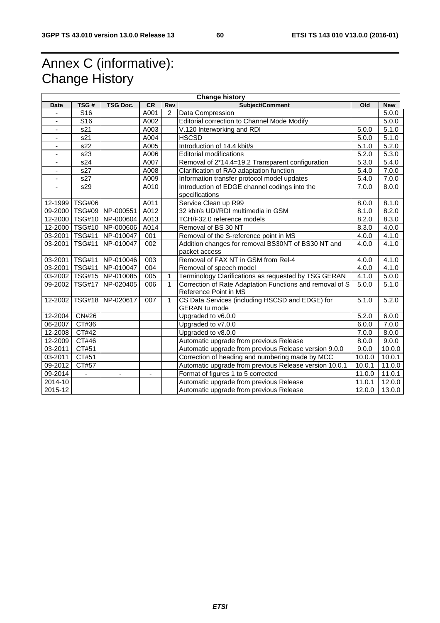## Annex C (informative): Change History

| <b>Change history</b>    |                         |                              |           |                |                                                          |        |                    |
|--------------------------|-------------------------|------------------------------|-----------|----------------|----------------------------------------------------------|--------|--------------------|
| <b>Date</b>              | TSG#                    | <b>TSG Doc.</b>              | <b>CR</b> | Rev            | <b>Subject/Comment</b>                                   | Old    | <b>New</b>         |
|                          | $\overline{\text{S}16}$ |                              | A001      | $\overline{2}$ | Data Compression                                         |        | 5.0.0              |
| ÷,                       | S <sub>16</sub>         |                              | A002      |                | Editorial correction to Channel Mode Modify              |        | 5.0.0              |
| ÷,                       | s21                     |                              | A003      |                | V.120 Interworking and RDI                               | 5.0.0  | 5.1.0              |
| $\blacksquare$           | $\overline{s21}$        |                              | A004      |                | <b>HSCSD</b>                                             | 5.0.0  | $\overline{5}.1.0$ |
|                          | s22                     |                              | A005      |                | Introduction of 14.4 kbit/s                              | 5.1.0  | 5.2.0              |
|                          | s23                     |                              | A006      |                | <b>Editorial modifications</b>                           | 5.2.0  | 5.3.0              |
|                          | s24                     |                              | A007      |                | Removal of 2*14.4=19.2 Transparent configuration         | 5.3.0  | 5.4.0              |
|                          | s27                     |                              | A008      |                | Clarification of RA0 adaptation function                 | 5.4.0  | 7.0.0              |
|                          | s27                     |                              | A009      |                | Information transfer protocol model updates              | 5.4.0  | 7.0.0              |
| $\overline{\phantom{m}}$ | s29                     |                              | A010      |                | Introduction of EDGE channel codings into the            | 7.0.0  | 8.0.0              |
|                          |                         |                              |           |                | specifications                                           |        |                    |
|                          | 12-1999 TSG#06          |                              | A011      |                | Service Clean up R99                                     | 8.0.0  | 8.1.0              |
|                          |                         | 09-2000   TSG#09   NP-000551 | A012      |                | 32 kbit/s UDI/RDI multimedia in GSM                      | 8.1.0  | 8.2.0              |
|                          | 12-2000   TSG#10        | NP-000604                    | A013      |                | TCH/F32.0 reference models                               | 8.2.0  | 8.3.0              |
|                          | 12-2000   TSG#10        | NP-000606                    | A014      |                | Removal of BS 30 NT                                      | 8.3.0  | 4.0.0              |
|                          | 03-2001   TSG#11        | NP-010047                    | 001       |                | Removal of the S-reference point in MS                   | 4.0.0  | 4.1.0              |
| 03-2001                  | <b>TSG#11</b>           | NP-010047                    | 002       |                | Addition changes for removal BS30NT of BS30 NT and       | 4.0.0  | 4.1.0              |
|                          |                         |                              |           |                | packet access                                            |        |                    |
|                          | 03-2001   TSG#11        | NP-010046                    | 003       |                | Removal of FAX NT in GSM from Rel-4                      | 4.0.0  | 4.1.0              |
|                          | 03-2001   TSG#11        | NP-010047                    | 004       |                | Removal of speech model                                  | 4.0.0  | 4.1.0              |
|                          |                         | 03-2002   TSG#15   NP-010085 | 005       | 1              | Terminology Clarifications as requested by TSG GERAN     | 4.1.0  | 5.0.0              |
|                          | 09-2002 TSG#17          | NP-020405                    | 006       | 1              | Correction of Rate Adaptation Functions and removal of S | 5.0.0  | 5.1.0              |
|                          |                         |                              |           |                | Reference Point in MS                                    |        |                    |
| 12-2002                  | <b>TSG#18</b>           | NP-020617                    | 007       | $\mathbf{1}$   | CS Data Services (including HSCSD and EDGE) for          | 5.1.0  | 5.2.0              |
|                          |                         |                              |           |                | <b>GERAN lu mode</b>                                     |        |                    |
| 12-2004                  | CN#26                   |                              |           |                | Upgraded to v6.0.0                                       | 5.2.0  | 6.0.0              |
| 06-2007                  | CT#36                   |                              |           |                | Upgraded to v7.0.0                                       | 6.0.0  | 7.0.0              |
| 12-2008                  | CT#42                   |                              |           |                | Upgraded to v8.0.0                                       | 7.0.0  | 8.0.0              |
| 12-2009                  | CT#46                   |                              |           |                | Automatic upgrade from previous Release                  | 8.0.0  | 9.0.0              |
| 03-2011                  | CT#51                   |                              |           |                | Automatic upgrade from previous Release version 9.0.0    | 9.0.0  | 10.0.0             |
| 03-2011                  | CT#51                   |                              |           |                | Correction of heading and numbering made by MCC          | 10.0.0 | 10.0.1             |
| 09-2012                  | CT#57                   |                              |           |                | Automatic upgrade from previous Release version 10.0.1   | 10.0.1 | 11.0.0             |
| 09-2014                  |                         |                              | ÷,        |                | 11.0.0<br>Format of figures 1 to 5 corrected             |        | 11.0.1             |
| 2014-10                  |                         |                              |           |                | Automatic upgrade from previous Release                  | 11.0.1 | 12.0.0             |
| 2015-12                  |                         |                              |           |                | Automatic upgrade from previous Release                  | 12.0.0 | 13.0.0             |